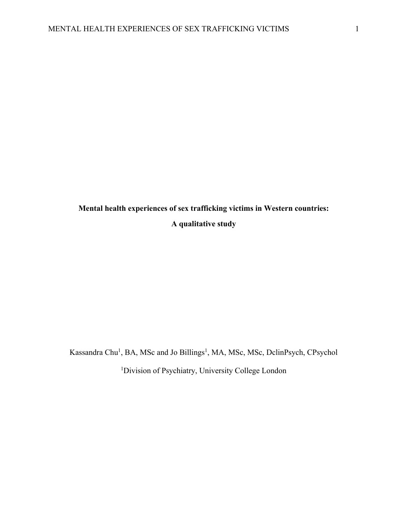**Mental health experiences of sex trafficking victims in Western countries: A qualitative study**

Kassandra Chu<sup>1</sup>, BA, MSc and Jo Billings<sup>1</sup>, MA, MSc, MSc, DclinPsych, CPsychol

<sup>1</sup>Division of Psychiatry, University College London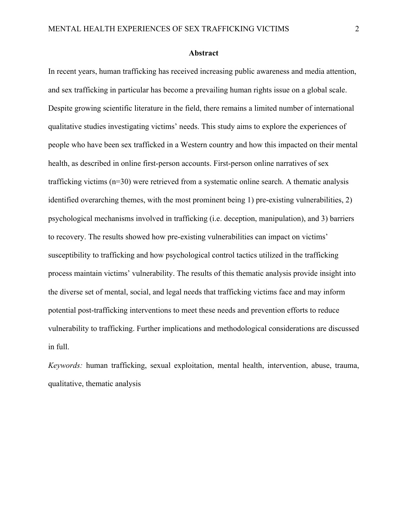#### **Abstract**

In recent years, human trafficking has received increasing public awareness and media attention, and sex trafficking in particular has become a prevailing human rights issue on a global scale. Despite growing scientific literature in the field, there remains a limited number of international qualitative studies investigating victims' needs. This study aims to explore the experiences of people who have been sex trafficked in a Western country and how this impacted on their mental health, as described in online first-person accounts. First-person online narratives of sex trafficking victims (n=30) were retrieved from a systematic online search. A thematic analysis identified overarching themes, with the most prominent being 1) pre-existing vulnerabilities, 2) psychological mechanisms involved in trafficking (i.e. deception, manipulation), and 3) barriers to recovery. The results showed how pre-existing vulnerabilities can impact on victims' susceptibility to trafficking and how psychological control tactics utilized in the trafficking process maintain victims' vulnerability. The results of this thematic analysis provide insight into the diverse set of mental, social, and legal needs that trafficking victims face and may inform potential post-trafficking interventions to meet these needs and prevention efforts to reduce vulnerability to trafficking. Further implications and methodological considerations are discussed in full.

*Keywords:* human trafficking, sexual exploitation, mental health, intervention, abuse, trauma, qualitative, thematic analysis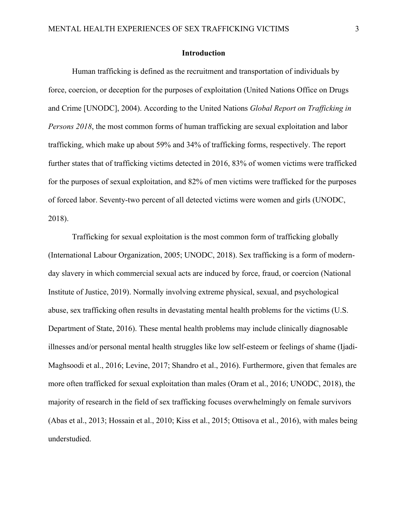#### **Introduction**

Human trafficking is defined as the recruitment and transportation of individuals by force, coercion, or deception for the purposes of exploitation (United Nations Office on Drugs and Crime [UNODC], 2004). According to the United Nations *Global Report on Trafficking in Persons 2018*, the most common forms of human trafficking are sexual exploitation and labor trafficking, which make up about 59% and 34% of trafficking forms, respectively. The report further states that of trafficking victims detected in 2016, 83% of women victims were trafficked for the purposes of sexual exploitation, and 82% of men victims were trafficked for the purposes of forced labor. Seventy-two percent of all detected victims were women and girls (UNODC, 2018).

Trafficking for sexual exploitation is the most common form of trafficking globally (International Labour Organization, 2005; UNODC, 2018). Sex trafficking is a form of modernday slavery in which commercial sexual acts are induced by force, fraud, or coercion (National Institute of Justice, 2019). Normally involving extreme physical, sexual, and psychological abuse, sex trafficking often results in devastating mental health problems for the victims (U.S. Department of State, 2016). These mental health problems may include clinically diagnosable illnesses and/or personal mental health struggles like low self-esteem or feelings of shame (Ijadi-Maghsoodi et al., 2016; Levine, 2017; Shandro et al., 2016). Furthermore, given that females are more often trafficked for sexual exploitation than males (Oram et al., 2016; UNODC, 2018), the majority of research in the field of sex trafficking focuses overwhelmingly on female survivors (Abas et al., 2013; Hossain et al., 2010; Kiss et al., 2015; Ottisova et al., 2016), with males being understudied.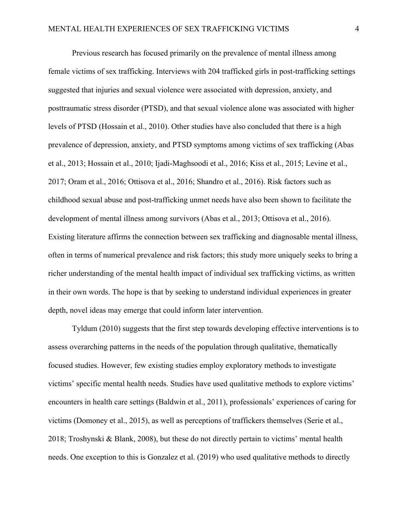Previous research has focused primarily on the prevalence of mental illness among female victims of sex trafficking. Interviews with 204 trafficked girls in post-trafficking settings suggested that injuries and sexual violence were associated with depression, anxiety, and posttraumatic stress disorder (PTSD), and that sexual violence alone was associated with higher levels of PTSD (Hossain et al., 2010). Other studies have also concluded that there is a high prevalence of depression, anxiety, and PTSD symptoms among victims of sex trafficking (Abas et al., 2013; Hossain et al., 2010; Ijadi-Maghsoodi et al., 2016; Kiss et al., 2015; Levine et al., 2017; Oram et al., 2016; Ottisova et al., 2016; Shandro et al., 2016). Risk factors such as childhood sexual abuse and post-trafficking unmet needs have also been shown to facilitate the development of mental illness among survivors (Abas et al., 2013; Ottisova et al., 2016). Existing literature affirms the connection between sex trafficking and diagnosable mental illness, often in terms of numerical prevalence and risk factors; this study more uniquely seeks to bring a richer understanding of the mental health impact of individual sex trafficking victims, as written in their own words. The hope is that by seeking to understand individual experiences in greater depth, novel ideas may emerge that could inform later intervention.

Tyldum (2010) suggests that the first step towards developing effective interventions is to assess overarching patterns in the needs of the population through qualitative, thematically focused studies. However, few existing studies employ exploratory methods to investigate victims' specific mental health needs. Studies have used qualitative methods to explore victims' encounters in health care settings (Baldwin et al., 2011), professionals' experiences of caring for victims (Domoney et al., 2015), as well as perceptions of traffickers themselves (Serie et al., 2018; Troshynski & Blank, 2008), but these do not directly pertain to victims' mental health needs. One exception to this is Gonzalez et al. (2019) who used qualitative methods to directly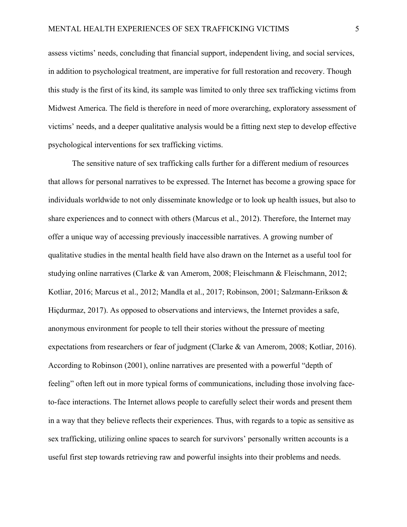assess victims' needs, concluding that financial support, independent living, and social services, in addition to psychological treatment, are imperative for full restoration and recovery. Though this study is the first of its kind, its sample was limited to only three sex trafficking victims from Midwest America. The field is therefore in need of more overarching, exploratory assessment of victims' needs, and a deeper qualitative analysis would be a fitting next step to develop effective psychological interventions for sex trafficking victims.

The sensitive nature of sex trafficking calls further for a different medium of resources that allows for personal narratives to be expressed. The Internet has become a growing space for individuals worldwide to not only disseminate knowledge or to look up health issues, but also to share experiences and to connect with others (Marcus et al., 2012). Therefore, the Internet may offer a unique way of accessing previously inaccessible narratives. A growing number of qualitative studies in the mental health field have also drawn on the Internet as a useful tool for studying online narratives (Clarke & van Amerom, 2008; Fleischmann & Fleischmann, 2012; Kotliar, 2016; Marcus et al., 2012; Mandla et al., 2017; Robinson, 2001; Salzmann-Erikson & Hiçdurmaz, 2017). As opposed to observations and interviews, the Internet provides a safe, anonymous environment for people to tell their stories without the pressure of meeting expectations from researchers or fear of judgment (Clarke & van Amerom, 2008; Kotliar, 2016). According to Robinson (2001), online narratives are presented with a powerful "depth of feeling" often left out in more typical forms of communications, including those involving faceto-face interactions. The Internet allows people to carefully select their words and present them in a way that they believe reflects their experiences. Thus, with regards to a topic as sensitive as sex trafficking, utilizing online spaces to search for survivors' personally written accounts is a useful first step towards retrieving raw and powerful insights into their problems and needs.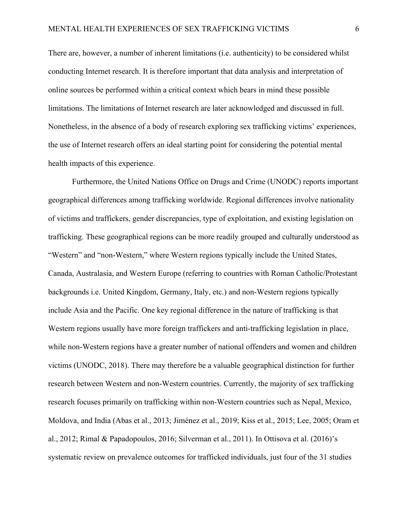There are, however, a number of inherent limitations (i.e. authenticity) to be considered whilst conducting Internet research. It is therefore important that data analysis and interpretation of online sources be performed within a critical context which bears in mind these possible limitations. The limitations of Internet research are later acknowledged and discussed in full. Nonetheless, in the absence of a body of research exploring sex trafficking victims' experiences, the use of Internet research offers an ideal starting point for considering the potential mental health impacts of this experience.

Furthermore, the United Nations Office on Drugs and Crime (UNODC) reports important geographical differences among trafficking worldwide. Regional differences involve nationality of victims and traffickers, gender discrepancies, type of exploitation, and existing legislation on trafficking. These geographical regions can be more readily grouped and culturally understood as "Western" and "non-Western," where Western regions typically include the United States, Canada, Australasia, and Western Europe (referring to countries with Roman Catholic/Protestant backgrounds i.e. United Kingdom, Germany, Italy, etc.) and non-Western regions typically include Asia and the Pacific. One key regional difference in the nature of trafficking is that Western regions usually have more foreign traffickers and anti-trafficking legislation in place, while non-Western regions have a greater number of national offenders and women and children victims (UNODC, 2018). There may therefore be a valuable geographical distinction for further research between Western and non-Western countries. Currently, the majority of sex trafficking research focuses primarily on trafficking within non-Western countries such as Nepal, Mexico, Moldova, and India (Abas et al., 2013; Jiménez et al., 2019; Kiss et al., 2015; Lee, 2005; Oram et al., 2012; Rimal & Papadopoulos, 2016; Silverman et al., 2011). In Ottisova et al. (2016)'s systematic review on prevalence outcomes for trafficked individuals, just four of the 31 studies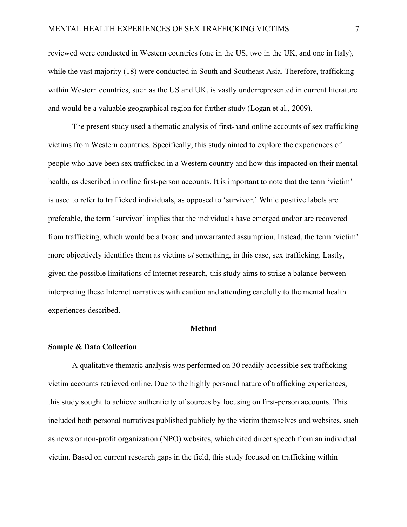reviewed were conducted in Western countries (one in the US, two in the UK, and one in Italy), while the vast majority (18) were conducted in South and Southeast Asia. Therefore, trafficking within Western countries, such as the US and UK, is vastly underrepresented in current literature and would be a valuable geographical region for further study (Logan et al., 2009).

The present study used a thematic analysis of first-hand online accounts of sex trafficking victims from Western countries. Specifically, this study aimed to explore the experiences of people who have been sex trafficked in a Western country and how this impacted on their mental health, as described in online first-person accounts. It is important to note that the term 'victim' is used to refer to trafficked individuals, as opposed to 'survivor.' While positive labels are preferable, the term 'survivor' implies that the individuals have emerged and/or are recovered from trafficking, which would be a broad and unwarranted assumption. Instead, the term 'victim' more objectively identifies them as victims *of* something, in this case, sex trafficking. Lastly, given the possible limitations of Internet research, this study aims to strike a balance between interpreting these Internet narratives with caution and attending carefully to the mental health experiences described.

#### **Method**

#### **Sample & Data Collection**

A qualitative thematic analysis was performed on 30 readily accessible sex trafficking victim accounts retrieved online. Due to the highly personal nature of trafficking experiences, this study sought to achieve authenticity of sources by focusing on first-person accounts. This included both personal narratives published publicly by the victim themselves and websites, such as news or non-profit organization (NPO) websites, which cited direct speech from an individual victim. Based on current research gaps in the field, this study focused on trafficking within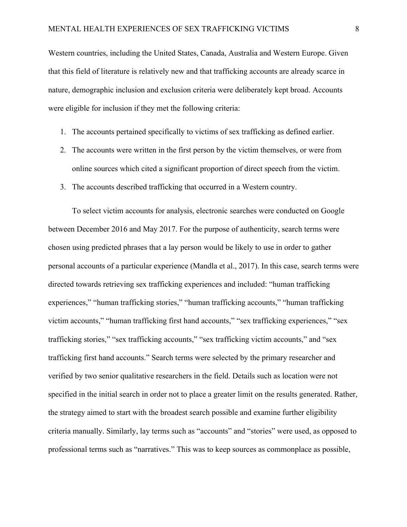Western countries, including the United States, Canada, Australia and Western Europe. Given that this field of literature is relatively new and that trafficking accounts are already scarce in nature, demographic inclusion and exclusion criteria were deliberately kept broad. Accounts were eligible for inclusion if they met the following criteria:

- 1. The accounts pertained specifically to victims of sex trafficking as defined earlier.
- 2. The accounts were written in the first person by the victim themselves, or were from online sources which cited a significant proportion of direct speech from the victim.
- 3. The accounts described trafficking that occurred in a Western country.

To select victim accounts for analysis, electronic searches were conducted on Google between December 2016 and May 2017. For the purpose of authenticity, search terms were chosen using predicted phrases that a lay person would be likely to use in order to gather personal accounts of a particular experience (Mandla et al., 2017). In this case, search terms were directed towards retrieving sex trafficking experiences and included: "human trafficking experiences," "human trafficking stories," "human trafficking accounts," "human trafficking victim accounts," "human trafficking first hand accounts," "sex trafficking experiences," "sex trafficking stories," "sex trafficking accounts," "sex trafficking victim accounts," and "sex trafficking first hand accounts." Search terms were selected by the primary researcher and verified by two senior qualitative researchers in the field. Details such as location were not specified in the initial search in order not to place a greater limit on the results generated. Rather, the strategy aimed to start with the broadest search possible and examine further eligibility criteria manually. Similarly, lay terms such as "accounts" and "stories" were used, as opposed to professional terms such as "narratives." This was to keep sources as commonplace as possible,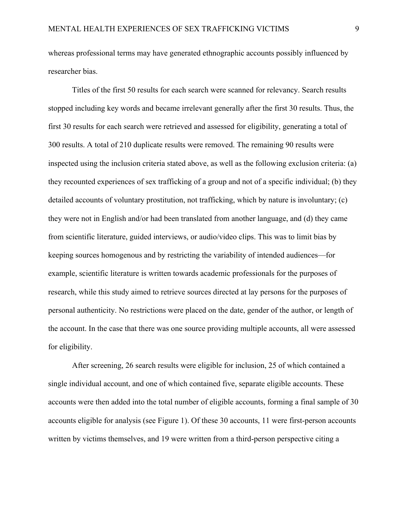whereas professional terms may have generated ethnographic accounts possibly influenced by researcher bias.

Titles of the first 50 results for each search were scanned for relevancy. Search results stopped including key words and became irrelevant generally after the first 30 results. Thus, the first 30 results for each search were retrieved and assessed for eligibility, generating a total of 300 results. A total of 210 duplicate results were removed. The remaining 90 results were inspected using the inclusion criteria stated above, as well as the following exclusion criteria: (a) they recounted experiences of sex trafficking of a group and not of a specific individual; (b) they detailed accounts of voluntary prostitution, not trafficking, which by nature is involuntary; (c) they were not in English and/or had been translated from another language, and (d) they came from scientific literature, guided interviews, or audio/video clips. This was to limit bias by keeping sources homogenous and by restricting the variability of intended audiences—for example, scientific literature is written towards academic professionals for the purposes of research, while this study aimed to retrieve sources directed at lay persons for the purposes of personal authenticity. No restrictions were placed on the date, gender of the author, or length of the account. In the case that there was one source providing multiple accounts, all were assessed for eligibility.

After screening, 26 search results were eligible for inclusion, 25 of which contained a single individual account, and one of which contained five, separate eligible accounts. These accounts were then added into the total number of eligible accounts, forming a final sample of 30 accounts eligible for analysis (see Figure 1). Of these 30 accounts, 11 were first-person accounts written by victims themselves, and 19 were written from a third-person perspective citing a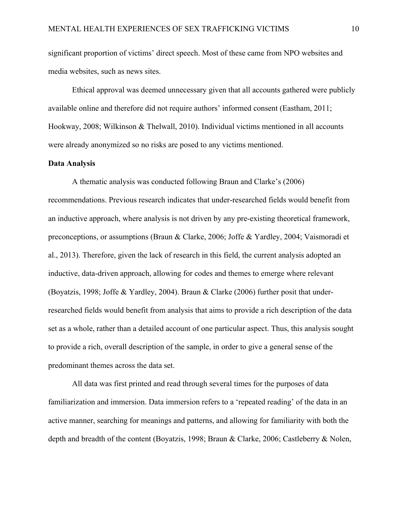significant proportion of victims' direct speech. Most of these came from NPO websites and media websites, such as news sites.

Ethical approval was deemed unnecessary given that all accounts gathered were publicly available online and therefore did not require authors' informed consent (Eastham, 2011; Hookway, 2008; Wilkinson & Thelwall, 2010). Individual victims mentioned in all accounts were already anonymized so no risks are posed to any victims mentioned.

#### **Data Analysis**

A thematic analysis was conducted following Braun and Clarke's (2006) recommendations. Previous research indicates that under-researched fields would benefit from an inductive approach, where analysis is not driven by any pre-existing theoretical framework, preconceptions, or assumptions (Braun & Clarke, 2006; Joffe & Yardley, 2004; Vaismoradi et al., 2013). Therefore, given the lack of research in this field, the current analysis adopted an inductive, data-driven approach, allowing for codes and themes to emerge where relevant (Boyatzis, 1998; Joffe & Yardley, 2004). Braun & Clarke (2006) further posit that underresearched fields would benefit from analysis that aims to provide a rich description of the data set as a whole, rather than a detailed account of one particular aspect. Thus, this analysis sought to provide a rich, overall description of the sample, in order to give a general sense of the predominant themes across the data set.

All data was first printed and read through several times for the purposes of data familiarization and immersion. Data immersion refers to a 'repeated reading' of the data in an active manner, searching for meanings and patterns, and allowing for familiarity with both the depth and breadth of the content (Boyatzis, 1998; Braun & Clarke, 2006; Castleberry & Nolen,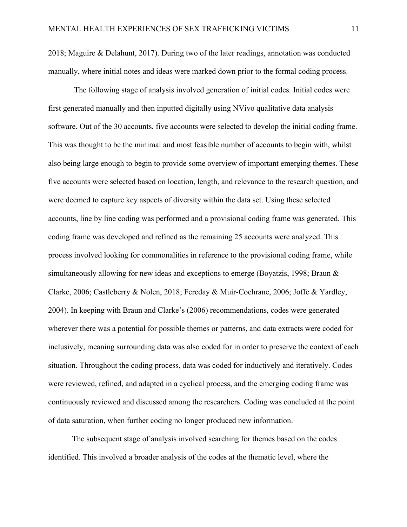2018; Maguire & Delahunt, 2017). During two of the later readings, annotation was conducted manually, where initial notes and ideas were marked down prior to the formal coding process.

The following stage of analysis involved generation of initial codes. Initial codes were first generated manually and then inputted digitally using NVivo qualitative data analysis software. Out of the 30 accounts, five accounts were selected to develop the initial coding frame. This was thought to be the minimal and most feasible number of accounts to begin with, whilst also being large enough to begin to provide some overview of important emerging themes. These five accounts were selected based on location, length, and relevance to the research question, and were deemed to capture key aspects of diversity within the data set. Using these selected accounts, line by line coding was performed and a provisional coding frame was generated. This coding frame was developed and refined as the remaining 25 accounts were analyzed. This process involved looking for commonalities in reference to the provisional coding frame, while simultaneously allowing for new ideas and exceptions to emerge (Boyatzis, 1998; Braun & Clarke, 2006; Castleberry & Nolen, 2018; Fereday & Muir-Cochrane, 2006; Joffe & Yardley, 2004). In keeping with Braun and Clarke's (2006) recommendations, codes were generated wherever there was a potential for possible themes or patterns, and data extracts were coded for inclusively, meaning surrounding data was also coded for in order to preserve the context of each situation. Throughout the coding process, data was coded for inductively and iteratively. Codes were reviewed, refined, and adapted in a cyclical process, and the emerging coding frame was continuously reviewed and discussed among the researchers. Coding was concluded at the point of data saturation, when further coding no longer produced new information.

The subsequent stage of analysis involved searching for themes based on the codes identified. This involved a broader analysis of the codes at the thematic level, where the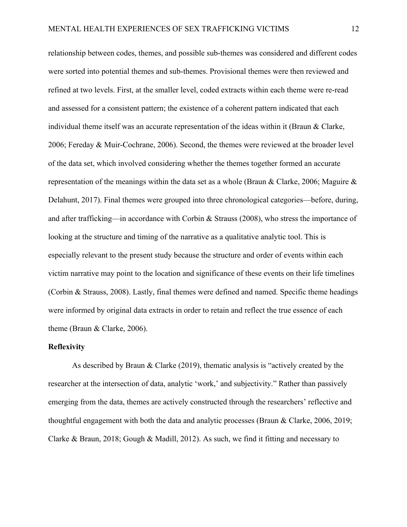relationship between codes, themes, and possible sub-themes was considered and different codes were sorted into potential themes and sub-themes. Provisional themes were then reviewed and refined at two levels. First, at the smaller level, coded extracts within each theme were re-read and assessed for a consistent pattern; the existence of a coherent pattern indicated that each individual theme itself was an accurate representation of the ideas within it (Braun & Clarke, 2006; Fereday & Muir-Cochrane, 2006). Second, the themes were reviewed at the broader level of the data set, which involved considering whether the themes together formed an accurate representation of the meanings within the data set as a whole (Braun & Clarke, 2006; Maguire & Delahunt, 2017). Final themes were grouped into three chronological categories—before, during, and after trafficking—in accordance with Corbin & Strauss (2008), who stress the importance of looking at the structure and timing of the narrative as a qualitative analytic tool. This is especially relevant to the present study because the structure and order of events within each victim narrative may point to the location and significance of these events on their life timelines (Corbin & Strauss, 2008). Lastly, final themes were defined and named. Specific theme headings were informed by original data extracts in order to retain and reflect the true essence of each theme (Braun & Clarke, 2006).

#### **Reflexivity**

As described by Braun & Clarke (2019), thematic analysis is "actively created by the researcher at the intersection of data, analytic 'work,' and subjectivity." Rather than passively emerging from the data, themes are actively constructed through the researchers' reflective and thoughtful engagement with both the data and analytic processes (Braun & Clarke, 2006, 2019; Clarke & Braun, 2018; Gough & Madill, 2012). As such, we find it fitting and necessary to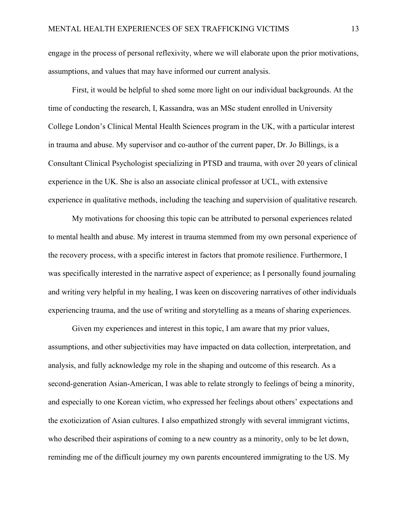engage in the process of personal reflexivity, where we will elaborate upon the prior motivations, assumptions, and values that may have informed our current analysis.

First, it would be helpful to shed some more light on our individual backgrounds. At the time of conducting the research, I, Kassandra, was an MSc student enrolled in University College London's Clinical Mental Health Sciences program in the UK, with a particular interest in trauma and abuse. My supervisor and co-author of the current paper, Dr. Jo Billings, is a Consultant Clinical Psychologist specializing in PTSD and trauma, with over 20 years of clinical experience in the UK. She is also an associate clinical professor at UCL, with extensive experience in qualitative methods, including the teaching and supervision of qualitative research.

My motivations for choosing this topic can be attributed to personal experiences related to mental health and abuse. My interest in trauma stemmed from my own personal experience of the recovery process, with a specific interest in factors that promote resilience. Furthermore, I was specifically interested in the narrative aspect of experience; as I personally found journaling and writing very helpful in my healing, I was keen on discovering narratives of other individuals experiencing trauma, and the use of writing and storytelling as a means of sharing experiences.

Given my experiences and interest in this topic, I am aware that my prior values, assumptions, and other subjectivities may have impacted on data collection, interpretation, and analysis, and fully acknowledge my role in the shaping and outcome of this research. As a second-generation Asian-American, I was able to relate strongly to feelings of being a minority, and especially to one Korean victim, who expressed her feelings about others' expectations and the exoticization of Asian cultures. I also empathized strongly with several immigrant victims, who described their aspirations of coming to a new country as a minority, only to be let down, reminding me of the difficult journey my own parents encountered immigrating to the US. My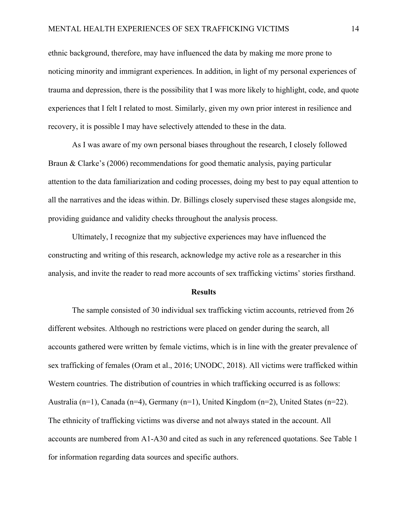ethnic background, therefore, may have influenced the data by making me more prone to noticing minority and immigrant experiences. In addition, in light of my personal experiences of trauma and depression, there is the possibility that I was more likely to highlight, code, and quote experiences that I felt I related to most. Similarly, given my own prior interest in resilience and recovery, it is possible I may have selectively attended to these in the data.

As I was aware of my own personal biases throughout the research, I closely followed Braun & Clarke's (2006) recommendations for good thematic analysis, paying particular attention to the data familiarization and coding processes, doing my best to pay equal attention to all the narratives and the ideas within. Dr. Billings closely supervised these stages alongside me, providing guidance and validity checks throughout the analysis process.

Ultimately, I recognize that my subjective experiences may have influenced the constructing and writing of this research, acknowledge my active role as a researcher in this analysis, and invite the reader to read more accounts of sex trafficking victims' stories firsthand.

#### **Results**

The sample consisted of 30 individual sex trafficking victim accounts, retrieved from 26 different websites. Although no restrictions were placed on gender during the search, all accounts gathered were written by female victims, which is in line with the greater prevalence of sex trafficking of females (Oram et al., 2016; UNODC, 2018). All victims were trafficked within Western countries. The distribution of countries in which trafficking occurred is as follows: Australia (n=1), Canada (n=4), Germany (n=1), United Kingdom (n=2), United States (n=22). The ethnicity of trafficking victims was diverse and not always stated in the account. All accounts are numbered from A1-A30 and cited as such in any referenced quotations. See Table 1 for information regarding data sources and specific authors.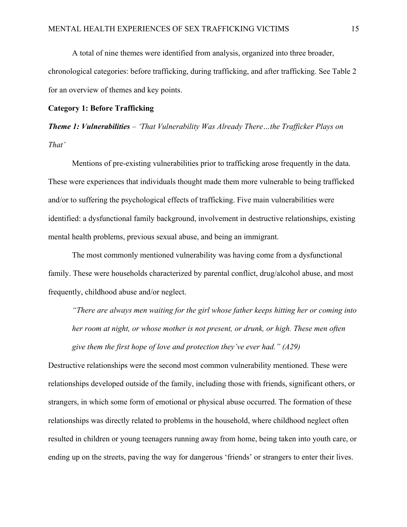A total of nine themes were identified from analysis, organized into three broader, chronological categories: before trafficking, during trafficking, and after trafficking. See Table 2 for an overview of themes and key points.

#### **Category 1: Before Trafficking**

*Theme 1: Vulnerabilities – 'That Vulnerability Was Already There…the Trafficker Plays on That'* 

Mentions of pre-existing vulnerabilities prior to trafficking arose frequently in the data. These were experiences that individuals thought made them more vulnerable to being trafficked and/or to suffering the psychological effects of trafficking. Five main vulnerabilities were identified: a dysfunctional family background, involvement in destructive relationships, existing mental health problems, previous sexual abuse, and being an immigrant.

The most commonly mentioned vulnerability was having come from a dysfunctional family. These were households characterized by parental conflict, drug/alcohol abuse, and most frequently, childhood abuse and/or neglect.

*"There are always men waiting for the girl whose father keeps hitting her or coming into her room at night, or whose mother is not present, or drunk, or high. These men often give them the first hope of love and protection they've ever had." (A29)*

Destructive relationships were the second most common vulnerability mentioned. These were relationships developed outside of the family, including those with friends, significant others, or strangers, in which some form of emotional or physical abuse occurred. The formation of these relationships was directly related to problems in the household, where childhood neglect often resulted in children or young teenagers running away from home, being taken into youth care, or ending up on the streets, paving the way for dangerous 'friends' or strangers to enter their lives.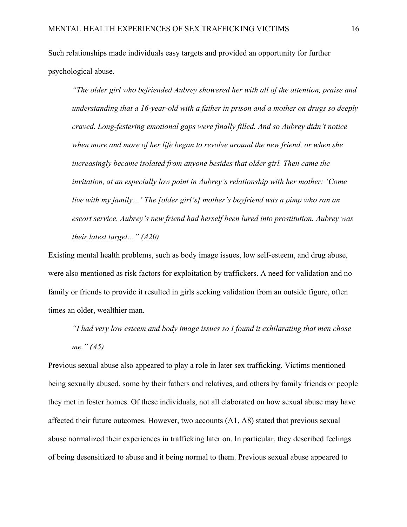Such relationships made individuals easy targets and provided an opportunity for further psychological abuse.

*"The older girl who befriended Aubrey showered her with all of the attention, praise and understanding that a 16-year-old with a father in prison and a mother on drugs so deeply craved. Long-festering emotional gaps were finally filled. And so Aubrey didn't notice when more and more of her life began to revolve around the new friend, or when she increasingly became isolated from anyone besides that older girl. Then came the invitation, at an especially low point in Aubrey's relationship with her mother: 'Come live with my family…' The [older girl's] mother's boyfriend was a pimp who ran an escort service. Aubrey's new friend had herself been lured into prostitution. Aubrey was their latest target…" (A20)*

Existing mental health problems, such as body image issues, low self-esteem, and drug abuse, were also mentioned as risk factors for exploitation by traffickers. A need for validation and no family or friends to provide it resulted in girls seeking validation from an outside figure, often times an older, wealthier man.

*"I had very low esteem and body image issues so I found it exhilarating that men chose me." (A5)* 

Previous sexual abuse also appeared to play a role in later sex trafficking. Victims mentioned being sexually abused, some by their fathers and relatives, and others by family friends or people they met in foster homes. Of these individuals, not all elaborated on how sexual abuse may have affected their future outcomes. However, two accounts (A1, A8) stated that previous sexual abuse normalized their experiences in trafficking later on. In particular, they described feelings of being desensitized to abuse and it being normal to them. Previous sexual abuse appeared to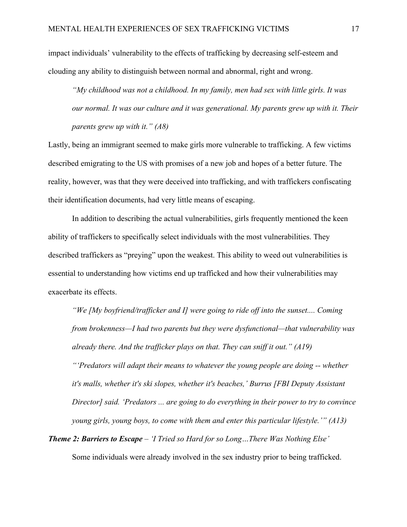impact individuals' vulnerability to the effects of trafficking by decreasing self-esteem and clouding any ability to distinguish between normal and abnormal, right and wrong.

*"My childhood was not a childhood. In my family, men had sex with little girls. It was our normal. It was our culture and it was generational. My parents grew up with it. Their parents grew up with it." (A8)*

Lastly, being an immigrant seemed to make girls more vulnerable to trafficking. A few victims described emigrating to the US with promises of a new job and hopes of a better future. The reality, however, was that they were deceived into trafficking, and with traffickers confiscating their identification documents, had very little means of escaping.

In addition to describing the actual vulnerabilities, girls frequently mentioned the keen ability of traffickers to specifically select individuals with the most vulnerabilities. They described traffickers as "preying" upon the weakest. This ability to weed out vulnerabilities is essential to understanding how victims end up trafficked and how their vulnerabilities may exacerbate its effects.

*"We [My boyfriend/trafficker and I] were going to ride off into the sunset.... Coming from brokenness—I had two parents but they were dysfunctional—that vulnerability was already there. And the trafficker plays on that. They can sniff it out." (A19) "'Predators will adapt their means to whatever the young people are doing -- whether it's malls, whether it's ski slopes, whether it's beaches,' Burrus [FBI Deputy Assistant Director] said. 'Predators ... are going to do everything in their power to try to convince young girls, young boys, to come with them and enter this particular lifestyle.'" (A13)*

*Theme 2: Barriers to Escape – 'I Tried so Hard for so Long…There Was Nothing Else'* Some individuals were already involved in the sex industry prior to being trafficked.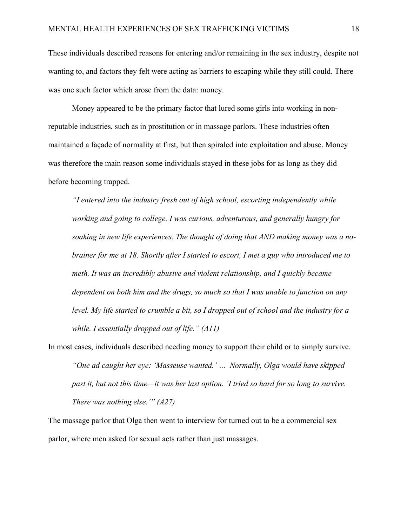These individuals described reasons for entering and/or remaining in the sex industry, despite not wanting to, and factors they felt were acting as barriers to escaping while they still could. There was one such factor which arose from the data: money.

Money appeared to be the primary factor that lured some girls into working in nonreputable industries, such as in prostitution or in massage parlors. These industries often maintained a façade of normality at first, but then spiraled into exploitation and abuse. Money was therefore the main reason some individuals stayed in these jobs for as long as they did before becoming trapped.

*"I entered into the industry fresh out of high school, escorting independently while working and going to college. I was curious, adventurous, and generally hungry for soaking in new life experiences. The thought of doing that AND making money was a nobrainer for me at 18. Shortly after I started to escort, I met a guy who introduced me to meth. It was an incredibly abusive and violent relationship, and I quickly became dependent on both him and the drugs, so much so that I was unable to function on any level. My life started to crumble a bit, so I dropped out of school and the industry for a while. I essentially dropped out of life." (A11)*

In most cases, individuals described needing money to support their child or to simply survive. *"One ad caught her eye: 'Masseuse wanted.' … Normally, Olga would have skipped past it, but not this time—it was her last option. 'I tried so hard for so long to survive. There was nothing else.'" (A27)* 

The massage parlor that Olga then went to interview for turned out to be a commercial sex parlor, where men asked for sexual acts rather than just massages.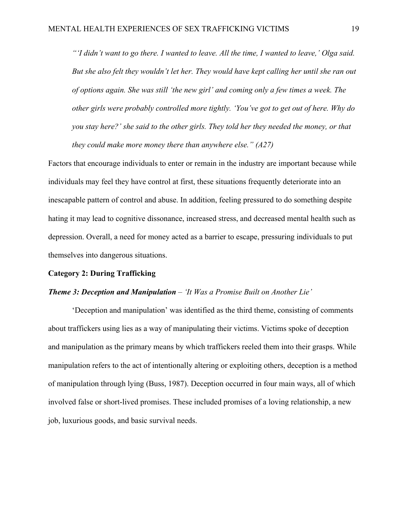*"'I didn't want to go there. I wanted to leave. All the time, I wanted to leave,' Olga said. But she also felt they wouldn't let her. They would have kept calling her until she ran out of options again. She was still 'the new girl' and coming only a few times a week. The other girls were probably controlled more tightly. 'You've got to get out of here. Why do you stay here?' she said to the other girls. They told her they needed the money, or that they could make more money there than anywhere else." (A27)*

Factors that encourage individuals to enter or remain in the industry are important because while individuals may feel they have control at first, these situations frequently deteriorate into an inescapable pattern of control and abuse. In addition, feeling pressured to do something despite hating it may lead to cognitive dissonance, increased stress, and decreased mental health such as depression. Overall, a need for money acted as a barrier to escape, pressuring individuals to put themselves into dangerous situations.

#### **Category 2: During Trafficking**

#### *Theme 3: Deception and Manipulation – 'It Was a Promise Built on Another Lie'*

'Deception and manipulation' was identified as the third theme, consisting of comments about traffickers using lies as a way of manipulating their victims. Victims spoke of deception and manipulation as the primary means by which traffickers reeled them into their grasps. While manipulation refers to the act of intentionally altering or exploiting others, deception is a method of manipulation through lying (Buss, 1987). Deception occurred in four main ways, all of which involved false or short-lived promises. These included promises of a loving relationship, a new job, luxurious goods, and basic survival needs.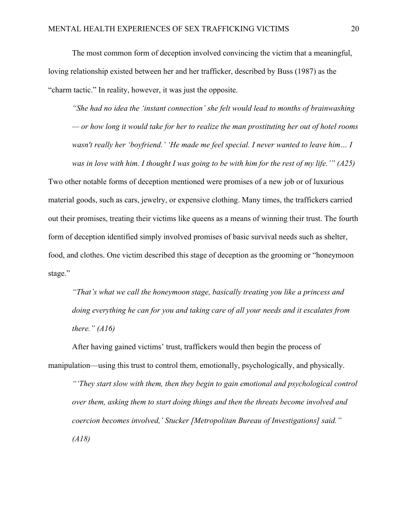The most common form of deception involved convincing the victim that a meaningful, loving relationship existed between her and her trafficker, described by Buss (1987) as the "charm tactic." In reality, however, it was just the opposite.

*"She had no idea the 'instant connection' she felt would lead to months of brainwashing — or how long it would take for her to realize the man prostituting her out of hotel rooms wasn't really her 'boyfriend.' 'He made me feel special. I never wanted to leave him… I was in love with him. I thought I was going to be with him for the rest of my life.'" (A25)* Two other notable forms of deception mentioned were promises of a new job or of luxurious material goods, such as cars, jewelry, or expensive clothing. Many times, the traffickers carried out their promises, treating their victims like queens as a means of winning their trust. The fourth form of deception identified simply involved promises of basic survival needs such as shelter, food, and clothes. One victim described this stage of deception as the grooming or "honeymoon stage."

*"That's what we call the honeymoon stage, basically treating you like a princess and doing everything he can for you and taking care of all your needs and it escalates from there." (A16)*

After having gained victims' trust, traffickers would then begin the process of manipulation—using this trust to control them, emotionally, psychologically, and physically. *"'They start slow with them, then they begin to gain emotional and psychological control over them, asking them to start doing things and then the threats become involved and coercion becomes involved,' Stucker [Metropolitan Bureau of Investigations] said." (A18)*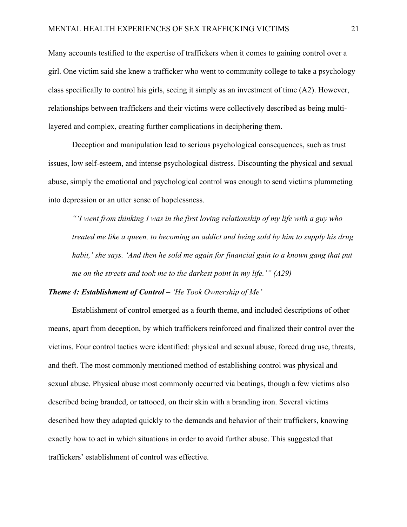Many accounts testified to the expertise of traffickers when it comes to gaining control over a girl. One victim said she knew a trafficker who went to community college to take a psychology class specifically to control his girls, seeing it simply as an investment of time (A2). However, relationships between traffickers and their victims were collectively described as being multilayered and complex, creating further complications in deciphering them.

Deception and manipulation lead to serious psychological consequences, such as trust issues, low self-esteem, and intense psychological distress. Discounting the physical and sexual abuse, simply the emotional and psychological control was enough to send victims plummeting into depression or an utter sense of hopelessness.

*"'I went from thinking I was in the first loving relationship of my life with a guy who treated me like a queen, to becoming an addict and being sold by him to supply his drug habit,' she says. 'And then he sold me again for financial gain to a known gang that put me on the streets and took me to the darkest point in my life.'" (A29)*

#### *Theme 4: Establishment of Control – 'He Took Ownership of Me'*

Establishment of control emerged as a fourth theme, and included descriptions of other means, apart from deception, by which traffickers reinforced and finalized their control over the victims. Four control tactics were identified: physical and sexual abuse, forced drug use, threats, and theft. The most commonly mentioned method of establishing control was physical and sexual abuse. Physical abuse most commonly occurred via beatings, though a few victims also described being branded, or tattooed, on their skin with a branding iron. Several victims described how they adapted quickly to the demands and behavior of their traffickers, knowing exactly how to act in which situations in order to avoid further abuse. This suggested that traffickers' establishment of control was effective.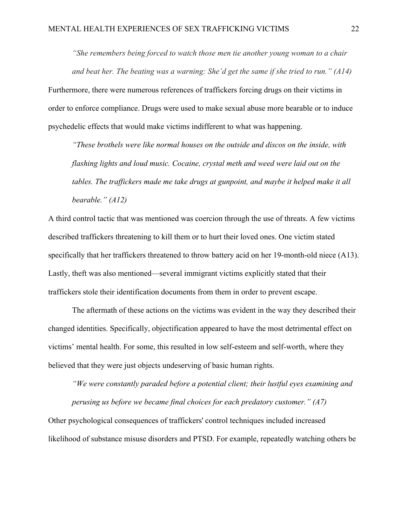*"She remembers being forced to watch those men tie another young woman to a chair and beat her. The beating was a warning: She'd get the same if she tried to run." (A14)*

Furthermore, there were numerous references of traffickers forcing drugs on their victims in order to enforce compliance. Drugs were used to make sexual abuse more bearable or to induce psychedelic effects that would make victims indifferent to what was happening.

*"These brothels were like normal houses on the outside and discos on the inside, with flashing lights and loud music. Cocaine, crystal meth and weed were laid out on the tables. The traffickers made me take drugs at gunpoint, and maybe it helped make it all bearable." (A12)*

A third control tactic that was mentioned was coercion through the use of threats. A few victims described traffickers threatening to kill them or to hurt their loved ones. One victim stated specifically that her traffickers threatened to throw battery acid on her 19-month-old niece (A13). Lastly, theft was also mentioned—several immigrant victims explicitly stated that their traffickers stole their identification documents from them in order to prevent escape.

The aftermath of these actions on the victims was evident in the way they described their changed identities. Specifically, objectification appeared to have the most detrimental effect on victims' mental health. For some, this resulted in low self-esteem and self-worth, where they believed that they were just objects undeserving of basic human rights.

*"We were constantly paraded before a potential client; their lustful eyes examining and perusing us before we became final choices for each predatory customer." (A7)* Other psychological consequences of traffickers' control techniques included increased likelihood of substance misuse disorders and PTSD. For example, repeatedly watching others be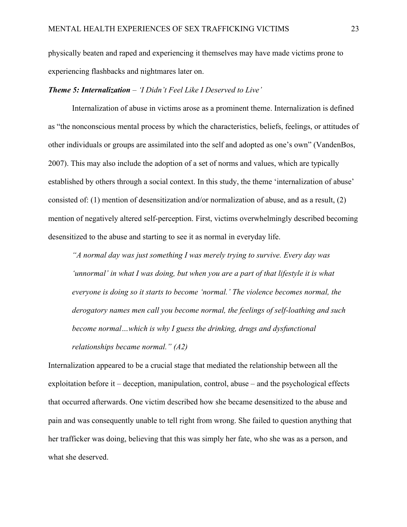physically beaten and raped and experiencing it themselves may have made victims prone to experiencing flashbacks and nightmares later on.

#### *Theme 5: Internalization – 'I Didn't Feel Like I Deserved to Live'*

Internalization of abuse in victims arose as a prominent theme. Internalization is defined as "the nonconscious mental process by which the characteristics, beliefs, feelings, or attitudes of other individuals or groups are assimilated into the self and adopted as one's own" (VandenBos, 2007). This may also include the adoption of a set of norms and values, which are typically established by others through a social context. In this study, the theme 'internalization of abuse' consisted of: (1) mention of desensitization and/or normalization of abuse, and as a result, (2) mention of negatively altered self-perception. First, victims overwhelmingly described becoming desensitized to the abuse and starting to see it as normal in everyday life.

*"A normal day was just something I was merely trying to survive. Every day was 'unnormal' in what I was doing, but when you are a part of that lifestyle it is what everyone is doing so it starts to become 'normal.' The violence becomes normal, the derogatory names men call you become normal, the feelings of self-loathing and such become normal…which is why I guess the drinking, drugs and dysfunctional relationships became normal." (A2)*

Internalization appeared to be a crucial stage that mediated the relationship between all the exploitation before it – deception, manipulation, control, abuse – and the psychological effects that occurred afterwards. One victim described how she became desensitized to the abuse and pain and was consequently unable to tell right from wrong. She failed to question anything that her trafficker was doing, believing that this was simply her fate, who she was as a person, and what she deserved.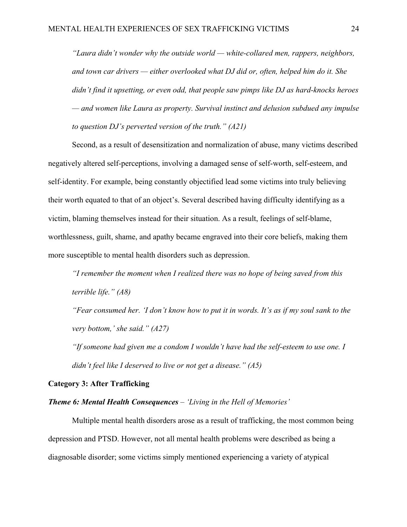*"Laura didn't wonder why the outside world — white-collared men, rappers, neighbors, and town car drivers — either overlooked what DJ did or, often, helped him do it. She didn't find it upsetting, or even odd, that people saw pimps like DJ as hard-knocks heroes — and women like Laura as property. Survival instinct and delusion subdued any impulse to question DJ's perverted version of the truth." (A21)*

Second, as a result of desensitization and normalization of abuse, many victims described negatively altered self-perceptions, involving a damaged sense of self-worth, self-esteem, and self-identity. For example, being constantly objectified lead some victims into truly believing their worth equated to that of an object's. Several described having difficulty identifying as a victim, blaming themselves instead for their situation. As a result, feelings of self-blame, worthlessness, guilt, shame, and apathy became engraved into their core beliefs, making them more susceptible to mental health disorders such as depression.

*"I remember the moment when I realized there was no hope of being saved from this terrible life." (A8)*

*"Fear consumed her. 'I don't know how to put it in words. It's as if my soul sank to the very bottom,' she said." (A27)*

*"If someone had given me a condom I wouldn't have had the self-esteem to use one. I didn't feel like I deserved to live or not get a disease." (A5)*

#### **Category 3: After Trafficking**

### *Theme 6: Mental Health Consequences – 'Living in the Hell of Memories'*

Multiple mental health disorders arose as a result of trafficking, the most common being depression and PTSD. However, not all mental health problems were described as being a diagnosable disorder; some victims simply mentioned experiencing a variety of atypical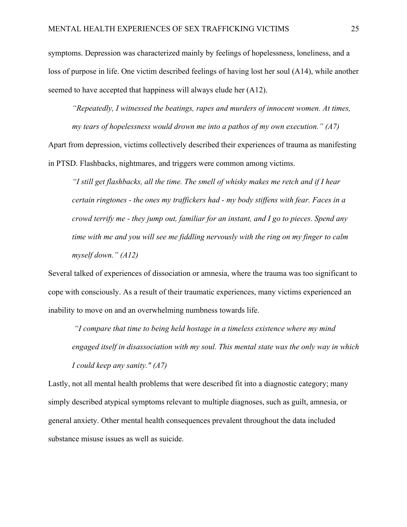symptoms. Depression was characterized mainly by feelings of hopelessness, loneliness, and a loss of purpose in life. One victim described feelings of having lost her soul (A14), while another seemed to have accepted that happiness will always elude her (A12).

*"Repeatedly, I witnessed the beatings, rapes and murders of innocent women. At times, my tears of hopelessness would drown me into a pathos of my own execution." (A7)*

Apart from depression, victims collectively described their experiences of trauma as manifesting in PTSD. Flashbacks, nightmares, and triggers were common among victims.

*"I still get flashbacks, all the time. The smell of whisky makes me retch and if I hear certain ringtones - the ones my traffickers had - my body stiffens with fear. Faces in a crowd terrify me - they jump out, familiar for an instant, and I go to pieces. Spend any time with me and you will see me fiddling nervously with the ring on my finger to calm myself down." (A12)*

Several talked of experiences of dissociation or amnesia, where the trauma was too significant to cope with consciously. As a result of their traumatic experiences, many victims experienced an inability to move on and an overwhelming numbness towards life.

*"I compare that time to being held hostage in a timeless existence where my mind engaged itself in disassociation with my soul. This mental state was the only way in which I could keep any sanity." (A7)*

Lastly, not all mental health problems that were described fit into a diagnostic category; many simply described atypical symptoms relevant to multiple diagnoses, such as guilt, amnesia, or general anxiety. Other mental health consequences prevalent throughout the data included substance misuse issues as well as suicide.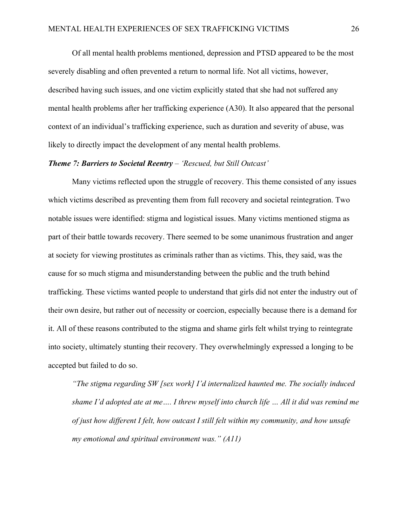Of all mental health problems mentioned, depression and PTSD appeared to be the most severely disabling and often prevented a return to normal life. Not all victims, however, described having such issues, and one victim explicitly stated that she had not suffered any mental health problems after her trafficking experience (A30). It also appeared that the personal context of an individual's trafficking experience, such as duration and severity of abuse, was likely to directly impact the development of any mental health problems.

#### *Theme 7: Barriers to Societal Reentry – 'Rescued, but Still Outcast'*

Many victims reflected upon the struggle of recovery. This theme consisted of any issues which victims described as preventing them from full recovery and societal reintegration. Two notable issues were identified: stigma and logistical issues. Many victims mentioned stigma as part of their battle towards recovery. There seemed to be some unanimous frustration and anger at society for viewing prostitutes as criminals rather than as victims. This, they said, was the cause for so much stigma and misunderstanding between the public and the truth behind trafficking. These victims wanted people to understand that girls did not enter the industry out of their own desire, but rather out of necessity or coercion, especially because there is a demand for it. All of these reasons contributed to the stigma and shame girls felt whilst trying to reintegrate into society, ultimately stunting their recovery. They overwhelmingly expressed a longing to be accepted but failed to do so.

*"The stigma regarding SW [sex work] I'd internalized haunted me. The socially induced shame I'd adopted ate at me…. I threw myself into church life … All it did was remind me of just how different I felt, how outcast I still felt within my community, and how unsafe my emotional and spiritual environment was." (A11)*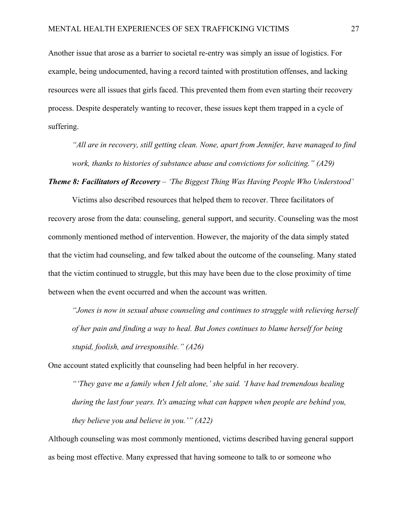Another issue that arose as a barrier to societal re-entry was simply an issue of logistics. For example, being undocumented, having a record tainted with prostitution offenses, and lacking resources were all issues that girls faced. This prevented them from even starting their recovery process. Despite desperately wanting to recover, these issues kept them trapped in a cycle of suffering.

*"All are in recovery, still getting clean. None, apart from Jennifer, have managed to find work, thanks to histories of substance abuse and convictions for soliciting." (A29)*

*Theme 8: Facilitators of Recovery – 'The Biggest Thing Was Having People Who Understood'* 

Victims also described resources that helped them to recover. Three facilitators of recovery arose from the data: counseling, general support, and security. Counseling was the most commonly mentioned method of intervention. However, the majority of the data simply stated that the victim had counseling, and few talked about the outcome of the counseling. Many stated that the victim continued to struggle, but this may have been due to the close proximity of time between when the event occurred and when the account was written.

*"Jones is now in sexual abuse counseling and continues to struggle with relieving herself of her pain and finding a way to heal. But Jones continues to blame herself for being stupid, foolish, and irresponsible." (A26)*

One account stated explicitly that counseling had been helpful in her recovery.

*"'They gave me a family when I felt alone,' she said. 'I have had tremendous healing during the last four years. It's amazing what can happen when people are behind you, they believe you and believe in you.'" (A22)* 

Although counseling was most commonly mentioned, victims described having general support as being most effective. Many expressed that having someone to talk to or someone who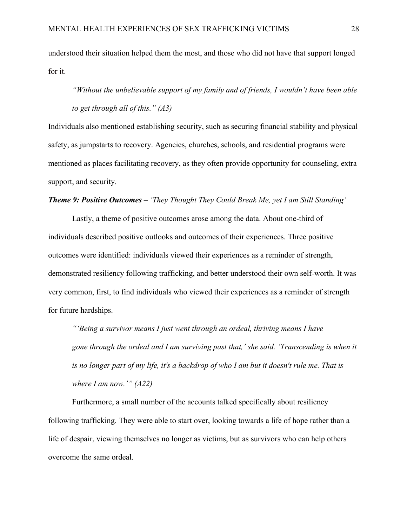understood their situation helped them the most, and those who did not have that support longed for it.

*"Without the unbelievable support of my family and of friends, I wouldn't have been able to get through all of this." (A3)*

Individuals also mentioned establishing security, such as securing financial stability and physical safety, as jumpstarts to recovery. Agencies, churches, schools, and residential programs were mentioned as places facilitating recovery, as they often provide opportunity for counseling, extra support, and security.

#### *Theme 9: Positive Outcomes – 'They Thought They Could Break Me, yet I am Still Standing'*

Lastly, a theme of positive outcomes arose among the data. About one-third of individuals described positive outlooks and outcomes of their experiences. Three positive outcomes were identified: individuals viewed their experiences as a reminder of strength, demonstrated resiliency following trafficking, and better understood their own self-worth. It was very common, first, to find individuals who viewed their experiences as a reminder of strength for future hardships.

*"'Being a survivor means I just went through an ordeal, thriving means I have gone through the ordeal and I am surviving past that,' she said. 'Transcending is when it is no longer part of my life, it's a backdrop of who I am but it doesn't rule me. That is where I am now.'" (A22)*

Furthermore, a small number of the accounts talked specifically about resiliency following trafficking. They were able to start over, looking towards a life of hope rather than a life of despair, viewing themselves no longer as victims, but as survivors who can help others overcome the same ordeal.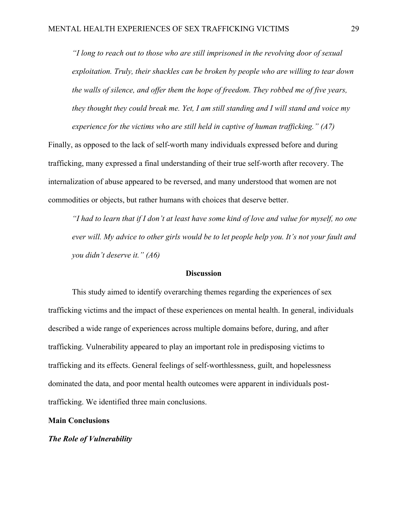*"I long to reach out to those who are still imprisoned in the revolving door of sexual exploitation. Truly, their shackles can be broken by people who are willing to tear down the walls of silence, and offer them the hope of freedom. They robbed me of five years, they thought they could break me. Yet, I am still standing and I will stand and voice my experience for the victims who are still held in captive of human trafficking." (A7)*

Finally, as opposed to the lack of self-worth many individuals expressed before and during trafficking, many expressed a final understanding of their true self-worth after recovery. The internalization of abuse appeared to be reversed, and many understood that women are not commodities or objects, but rather humans with choices that deserve better.

*"I had to learn that if I don't at least have some kind of love and value for myself, no one ever will. My advice to other girls would be to let people help you. It's not your fault and you didn't deserve it." (A6)*

#### **Discussion**

This study aimed to identify overarching themes regarding the experiences of sex trafficking victims and the impact of these experiences on mental health. In general, individuals described a wide range of experiences across multiple domains before, during, and after trafficking. Vulnerability appeared to play an important role in predisposing victims to trafficking and its effects. General feelings of self-worthlessness, guilt, and hopelessness dominated the data, and poor mental health outcomes were apparent in individuals posttrafficking. We identified three main conclusions.

#### **Main Conclusions**

#### *The Role of Vulnerability*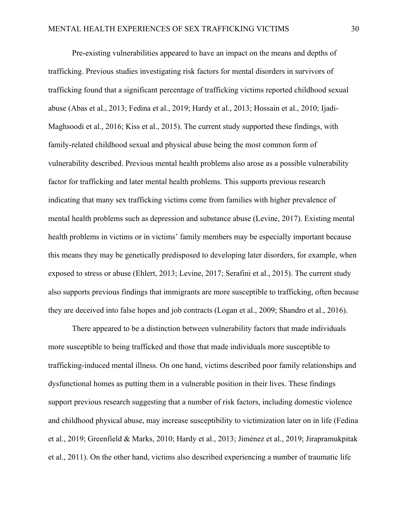Pre-existing vulnerabilities appeared to have an impact on the means and depths of trafficking. Previous studies investigating risk factors for mental disorders in survivors of trafficking found that a significant percentage of trafficking victims reported childhood sexual abuse (Abas et al., 2013; Fedina et al., 2019; Hardy et al., 2013; Hossain et al., 2010; Ijadi-Maghsoodi et al., 2016; Kiss et al., 2015). The current study supported these findings, with family-related childhood sexual and physical abuse being the most common form of vulnerability described. Previous mental health problems also arose as a possible vulnerability factor for trafficking and later mental health problems. This supports previous research indicating that many sex trafficking victims come from families with higher prevalence of mental health problems such as depression and substance abuse (Levine, 2017). Existing mental health problems in victims or in victims' family members may be especially important because this means they may be genetically predisposed to developing later disorders, for example, when exposed to stress or abuse (Ehlert, 2013; Levine, 2017; Serafini et al., 2015). The current study also supports previous findings that immigrants are more susceptible to trafficking, often because they are deceived into false hopes and job contracts (Logan et al., 2009; Shandro et al., 2016).

There appeared to be a distinction between vulnerability factors that made individuals more susceptible to being trafficked and those that made individuals more susceptible to trafficking-induced mental illness. On one hand, victims described poor family relationships and dysfunctional homes as putting them in a vulnerable position in their lives. These findings support previous research suggesting that a number of risk factors, including domestic violence and childhood physical abuse, may increase susceptibility to victimization later on in life (Fedina et al., 2019; Greenfield & Marks, 2010; Hardy et al., 2013; Jiménez et al., 2019; Jirapramukpitak et al., 2011). On the other hand, victims also described experiencing a number of traumatic life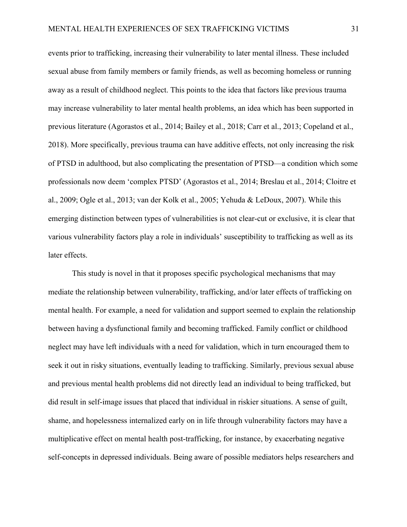events prior to trafficking, increasing their vulnerability to later mental illness. These included sexual abuse from family members or family friends, as well as becoming homeless or running away as a result of childhood neglect. This points to the idea that factors like previous trauma may increase vulnerability to later mental health problems, an idea which has been supported in previous literature (Agorastos et al., 2014; Bailey et al., 2018; Carr et al., 2013; Copeland et al., 2018). More specifically, previous trauma can have additive effects, not only increasing the risk of PTSD in adulthood, but also complicating the presentation of PTSD—a condition which some professionals now deem 'complex PTSD' (Agorastos et al., 2014; Breslau et al., 2014; Cloitre et al., 2009; Ogle et al., 2013; van der Kolk et al., 2005; Yehuda & LeDoux, 2007). While this emerging distinction between types of vulnerabilities is not clear-cut or exclusive, it is clear that various vulnerability factors play a role in individuals' susceptibility to trafficking as well as its later effects.

This study is novel in that it proposes specific psychological mechanisms that may mediate the relationship between vulnerability, trafficking, and/or later effects of trafficking on mental health. For example, a need for validation and support seemed to explain the relationship between having a dysfunctional family and becoming trafficked. Family conflict or childhood neglect may have left individuals with a need for validation, which in turn encouraged them to seek it out in risky situations, eventually leading to trafficking. Similarly, previous sexual abuse and previous mental health problems did not directly lead an individual to being trafficked, but did result in self-image issues that placed that individual in riskier situations. A sense of guilt, shame, and hopelessness internalized early on in life through vulnerability factors may have a multiplicative effect on mental health post-trafficking, for instance, by exacerbating negative self-concepts in depressed individuals. Being aware of possible mediators helps researchers and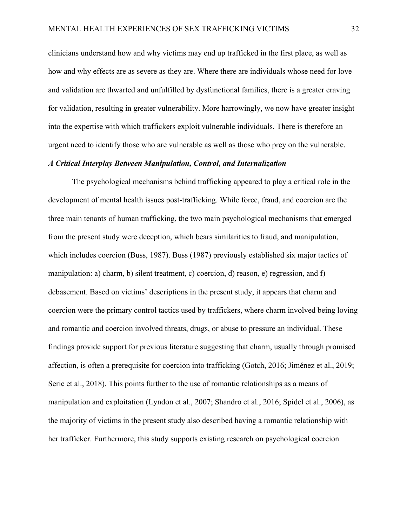clinicians understand how and why victims may end up trafficked in the first place, as well as how and why effects are as severe as they are. Where there are individuals whose need for love and validation are thwarted and unfulfilled by dysfunctional families, there is a greater craving for validation, resulting in greater vulnerability. More harrowingly, we now have greater insight into the expertise with which traffickers exploit vulnerable individuals. There is therefore an urgent need to identify those who are vulnerable as well as those who prey on the vulnerable.

#### *A Critical Interplay Between Manipulation, Control, and Internalization*

The psychological mechanisms behind trafficking appeared to play a critical role in the development of mental health issues post-trafficking. While force, fraud, and coercion are the three main tenants of human trafficking, the two main psychological mechanisms that emerged from the present study were deception, which bears similarities to fraud, and manipulation, which includes coercion (Buss, 1987). Buss (1987) previously established six major tactics of manipulation: a) charm, b) silent treatment, c) coercion, d) reason, e) regression, and f) debasement. Based on victims' descriptions in the present study, it appears that charm and coercion were the primary control tactics used by traffickers, where charm involved being loving and romantic and coercion involved threats, drugs, or abuse to pressure an individual. These findings provide support for previous literature suggesting that charm, usually through promised affection, is often a prerequisite for coercion into trafficking (Gotch, 2016; Jiménez et al., 2019; Serie et al., 2018). This points further to the use of romantic relationships as a means of manipulation and exploitation (Lyndon et al., 2007; Shandro et al., 2016; Spidel et al., 2006), as the majority of victims in the present study also described having a romantic relationship with her trafficker. Furthermore, this study supports existing research on psychological coercion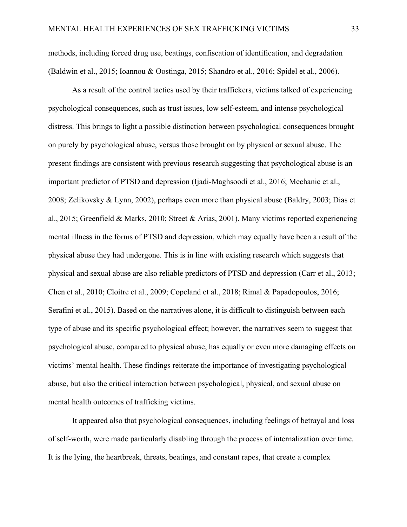methods, including forced drug use, beatings, confiscation of identification, and degradation (Baldwin et al., 2015; Ioannou & Oostinga, 2015; Shandro et al., 2016; Spidel et al., 2006).

As a result of the control tactics used by their traffickers, victims talked of experiencing psychological consequences, such as trust issues, low self-esteem, and intense psychological distress. This brings to light a possible distinction between psychological consequences brought on purely by psychological abuse, versus those brought on by physical or sexual abuse. The present findings are consistent with previous research suggesting that psychological abuse is an important predictor of PTSD and depression (Ijadi-Maghsoodi et al., 2016; Mechanic et al., 2008; Zelikovsky & Lynn, 2002), perhaps even more than physical abuse (Baldry, 2003; Dias et al., 2015; Greenfield & Marks, 2010; Street & Arias, 2001). Many victims reported experiencing mental illness in the forms of PTSD and depression, which may equally have been a result of the physical abuse they had undergone. This is in line with existing research which suggests that physical and sexual abuse are also reliable predictors of PTSD and depression (Carr et al., 2013; Chen et al., 2010; Cloitre et al., 2009; Copeland et al., 2018; Rimal & Papadopoulos, 2016; Serafini et al., 2015). Based on the narratives alone, it is difficult to distinguish between each type of abuse and its specific psychological effect; however, the narratives seem to suggest that psychological abuse, compared to physical abuse, has equally or even more damaging effects on victims' mental health. These findings reiterate the importance of investigating psychological abuse, but also the critical interaction between psychological, physical, and sexual abuse on mental health outcomes of trafficking victims.

It appeared also that psychological consequences, including feelings of betrayal and loss of self-worth, were made particularly disabling through the process of internalization over time. It is the lying, the heartbreak, threats, beatings, and constant rapes, that create a complex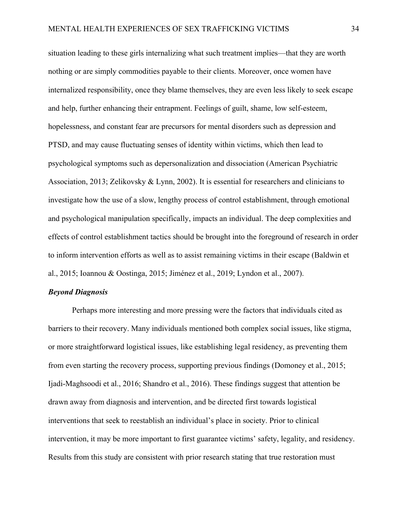situation leading to these girls internalizing what such treatment implies—that they are worth nothing or are simply commodities payable to their clients. Moreover, once women have internalized responsibility, once they blame themselves, they are even less likely to seek escape and help, further enhancing their entrapment. Feelings of guilt, shame, low self-esteem, hopelessness, and constant fear are precursors for mental disorders such as depression and PTSD, and may cause fluctuating senses of identity within victims, which then lead to psychological symptoms such as depersonalization and dissociation (American Psychiatric Association, 2013; Zelikovsky & Lynn, 2002). It is essential for researchers and clinicians to investigate how the use of a slow, lengthy process of control establishment, through emotional and psychological manipulation specifically, impacts an individual. The deep complexities and effects of control establishment tactics should be brought into the foreground of research in order to inform intervention efforts as well as to assist remaining victims in their escape (Baldwin et al., 2015; Ioannou & Oostinga, 2015; Jiménez et al., 2019; Lyndon et al., 2007).

#### *Beyond Diagnosis*

Perhaps more interesting and more pressing were the factors that individuals cited as barriers to their recovery. Many individuals mentioned both complex social issues, like stigma, or more straightforward logistical issues, like establishing legal residency, as preventing them from even starting the recovery process, supporting previous findings (Domoney et al., 2015; Ijadi-Maghsoodi et al., 2016; Shandro et al., 2016). These findings suggest that attention be drawn away from diagnosis and intervention, and be directed first towards logistical interventions that seek to reestablish an individual's place in society. Prior to clinical intervention, it may be more important to first guarantee victims' safety, legality, and residency. Results from this study are consistent with prior research stating that true restoration must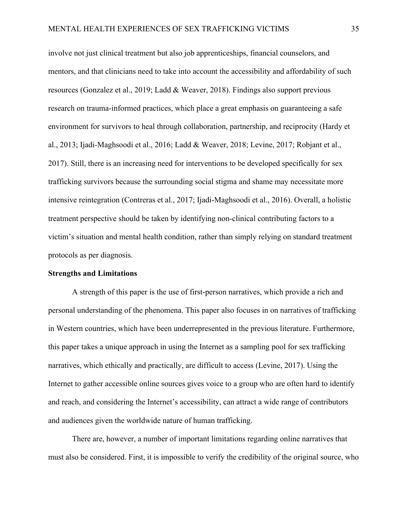involve not just clinical treatment but also job apprenticeships, financial counselors, and mentors, and that clinicians need to take into account the accessibility and affordability of such resources (Gonzalez et al., 2019; Ladd & Weaver, 2018). Findings also support previous research on trauma-informed practices, which place a great emphasis on guaranteeing a safe environment for survivors to heal through collaboration, partnership, and reciprocity (Hardy et al., 2013; Ijadi-Maghsoodi et al., 2016; Ladd & Weaver, 2018; Levine, 2017; Robjant et al., 2017). Still, there is an increasing need for interventions to be developed specifically for sex trafficking survivors because the surrounding social stigma and shame may necessitate more intensive reintegration (Contreras et al., 2017; Ijadi-Maghsoodi et al., 2016). Overall, a holistic treatment perspective should be taken by identifying non-clinical contributing factors to a victim's situation and mental health condition, rather than simply relying on standard treatment protocols as per diagnosis.

#### **Strengths and Limitations**

A strength of this paper is the use of first-person narratives, which provide a rich and personal understanding of the phenomena. This paper also focuses in on narratives of trafficking in Western countries, which have been underrepresented in the previous literature. Furthermore, this paper takes a unique approach in using the Internet as a sampling pool for sex trafficking narratives, which ethically and practically, are difficult to access (Levine, 2017). Using the Internet to gather accessible online sources gives voice to a group who are often hard to identify and reach, and considering the Internet's accessibility, can attract a wide range of contributors and audiences given the worldwide nature of human trafficking.

There are, however, a number of important limitations regarding online narratives that must also be considered. First, it is impossible to verify the credibility of the original source, who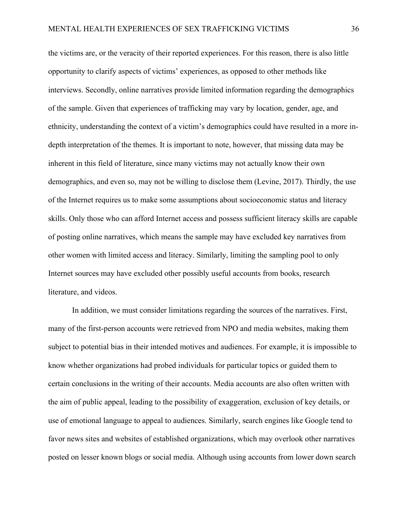the victims are, or the veracity of their reported experiences. For this reason, there is also little opportunity to clarify aspects of victims' experiences, as opposed to other methods like interviews. Secondly, online narratives provide limited information regarding the demographics of the sample. Given that experiences of trafficking may vary by location, gender, age, and ethnicity, understanding the context of a victim's demographics could have resulted in a more indepth interpretation of the themes. It is important to note, however, that missing data may be inherent in this field of literature, since many victims may not actually know their own demographics, and even so, may not be willing to disclose them (Levine, 2017). Thirdly, the use of the Internet requires us to make some assumptions about socioeconomic status and literacy skills. Only those who can afford Internet access and possess sufficient literacy skills are capable of posting online narratives, which means the sample may have excluded key narratives from other women with limited access and literacy. Similarly, limiting the sampling pool to only Internet sources may have excluded other possibly useful accounts from books, research literature, and videos.

In addition, we must consider limitations regarding the sources of the narratives. First, many of the first-person accounts were retrieved from NPO and media websites, making them subject to potential bias in their intended motives and audiences. For example, it is impossible to know whether organizations had probed individuals for particular topics or guided them to certain conclusions in the writing of their accounts. Media accounts are also often written with the aim of public appeal, leading to the possibility of exaggeration, exclusion of key details, or use of emotional language to appeal to audiences. Similarly, search engines like Google tend to favor news sites and websites of established organizations, which may overlook other narratives posted on lesser known blogs or social media. Although using accounts from lower down search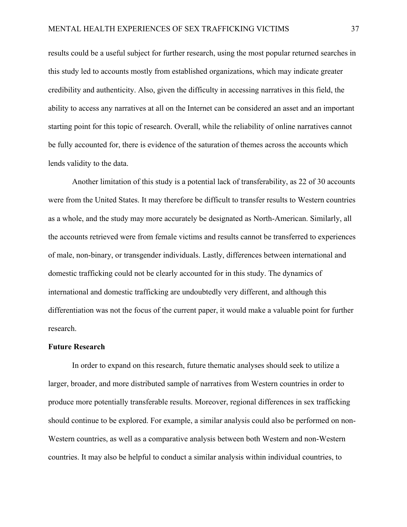results could be a useful subject for further research, using the most popular returned searches in this study led to accounts mostly from established organizations, which may indicate greater credibility and authenticity. Also, given the difficulty in accessing narratives in this field, the ability to access any narratives at all on the Internet can be considered an asset and an important starting point for this topic of research. Overall, while the reliability of online narratives cannot be fully accounted for, there is evidence of the saturation of themes across the accounts which lends validity to the data.

Another limitation of this study is a potential lack of transferability, as 22 of 30 accounts were from the United States. It may therefore be difficult to transfer results to Western countries as a whole, and the study may more accurately be designated as North-American. Similarly, all the accounts retrieved were from female victims and results cannot be transferred to experiences of male, non-binary, or transgender individuals. Lastly, differences between international and domestic trafficking could not be clearly accounted for in this study. The dynamics of international and domestic trafficking are undoubtedly very different, and although this differentiation was not the focus of the current paper, it would make a valuable point for further research.

#### **Future Research**

In order to expand on this research, future thematic analyses should seek to utilize a larger, broader, and more distributed sample of narratives from Western countries in order to produce more potentially transferable results. Moreover, regional differences in sex trafficking should continue to be explored. For example, a similar analysis could also be performed on non-Western countries, as well as a comparative analysis between both Western and non-Western countries. It may also be helpful to conduct a similar analysis within individual countries, to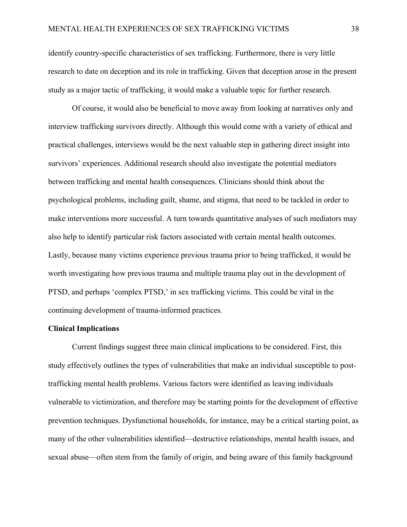identify country-specific characteristics of sex trafficking. Furthermore, there is very little research to date on deception and its role in trafficking. Given that deception arose in the present study as a major tactic of trafficking, it would make a valuable topic for further research.

Of course, it would also be beneficial to move away from looking at narratives only and interview trafficking survivors directly. Although this would come with a variety of ethical and practical challenges, interviews would be the next valuable step in gathering direct insight into survivors' experiences. Additional research should also investigate the potential mediators between trafficking and mental health consequences. Clinicians should think about the psychological problems, including guilt, shame, and stigma, that need to be tackled in order to make interventions more successful. A turn towards quantitative analyses of such mediators may also help to identify particular risk factors associated with certain mental health outcomes. Lastly, because many victims experience previous trauma prior to being trafficked, it would be worth investigating how previous trauma and multiple trauma play out in the development of PTSD, and perhaps 'complex PTSD,' in sex trafficking victims. This could be vital in the continuing development of trauma-informed practices.

#### **Clinical Implications**

Current findings suggest three main clinical implications to be considered. First, this study effectively outlines the types of vulnerabilities that make an individual susceptible to posttrafficking mental health problems. Various factors were identified as leaving individuals vulnerable to victimization, and therefore may be starting points for the development of effective prevention techniques. Dysfunctional households, for instance, may be a critical starting point, as many of the other vulnerabilities identified—destructive relationships, mental health issues, and sexual abuse—often stem from the family of origin, and being aware of this family background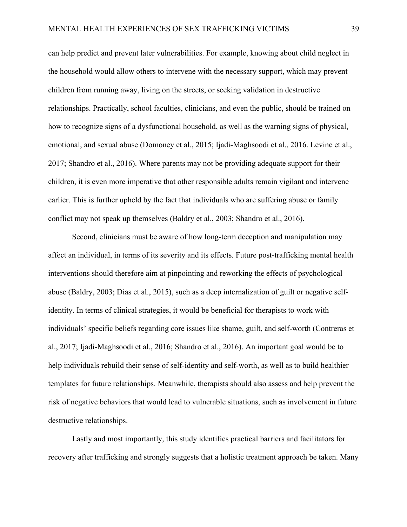can help predict and prevent later vulnerabilities. For example, knowing about child neglect in the household would allow others to intervene with the necessary support, which may prevent children from running away, living on the streets, or seeking validation in destructive relationships. Practically, school faculties, clinicians, and even the public, should be trained on how to recognize signs of a dysfunctional household, as well as the warning signs of physical, emotional, and sexual abuse (Domoney et al., 2015; Ijadi-Maghsoodi et al., 2016. Levine et al., 2017; Shandro et al., 2016). Where parents may not be providing adequate support for their children, it is even more imperative that other responsible adults remain vigilant and intervene earlier. This is further upheld by the fact that individuals who are suffering abuse or family conflict may not speak up themselves (Baldry et al., 2003; Shandro et al., 2016).

Second, clinicians must be aware of how long-term deception and manipulation may affect an individual, in terms of its severity and its effects. Future post-trafficking mental health interventions should therefore aim at pinpointing and reworking the effects of psychological abuse (Baldry, 2003; Dias et al., 2015), such as a deep internalization of guilt or negative selfidentity. In terms of clinical strategies, it would be beneficial for therapists to work with individuals' specific beliefs regarding core issues like shame, guilt, and self-worth (Contreras et al., 2017; Ijadi-Maghsoodi et al., 2016; Shandro et al., 2016). An important goal would be to help individuals rebuild their sense of self-identity and self-worth, as well as to build healthier templates for future relationships. Meanwhile, therapists should also assess and help prevent the risk of negative behaviors that would lead to vulnerable situations, such as involvement in future destructive relationships.

Lastly and most importantly, this study identifies practical barriers and facilitators for recovery after trafficking and strongly suggests that a holistic treatment approach be taken. Many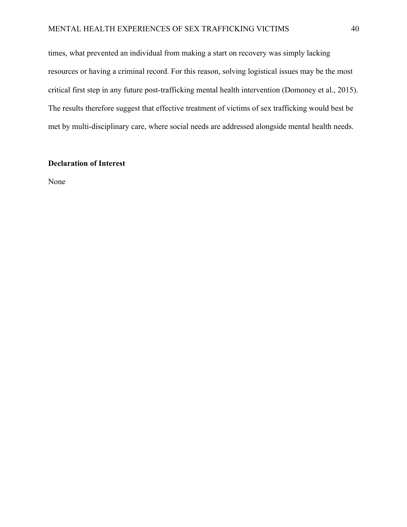#### MENTAL HEALTH EXPERIENCES OF SEX TRAFFICKING VICTIMS 40

times, what prevented an individual from making a start on recovery was simply lacking resources or having a criminal record. For this reason, solving logistical issues may be the most critical first step in any future post-trafficking mental health intervention (Domoney et al., 2015). The results therefore suggest that effective treatment of victims of sex trafficking would best be met by multi-disciplinary care, where social needs are addressed alongside mental health needs.

### **Declaration of Interest**

None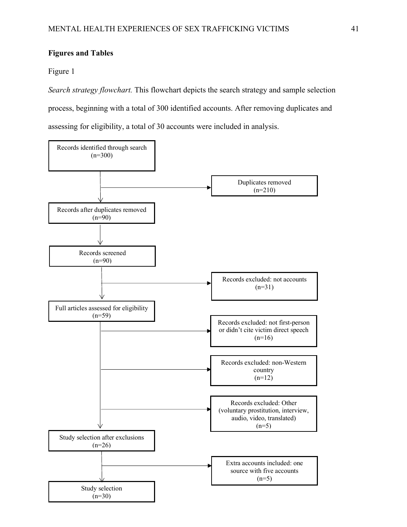#### **Figures and Tables**

#### Figure 1

*Search strategy flowchart.* This flowchart depicts the search strategy and sample selection process, beginning with a total of 300 identified accounts. After removing duplicates and assessing for eligibility, a total of 30 accounts were included in analysis.

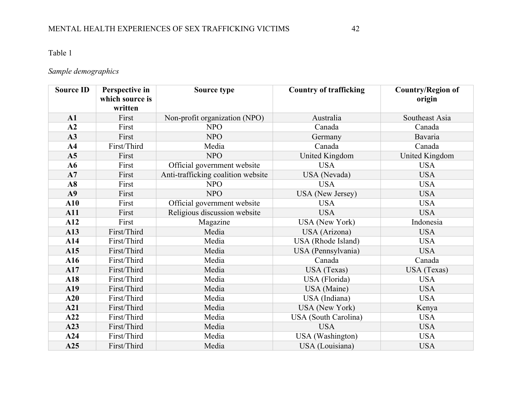# Table 1

# *Sample demographics*

| <b>Source ID</b> | Perspective in  | Source type                        | <b>Country of trafficking</b> | <b>Country/Region of</b> |
|------------------|-----------------|------------------------------------|-------------------------------|--------------------------|
|                  | which source is |                                    |                               | origin                   |
|                  | written         |                                    |                               |                          |
| A1               | First           | Non-profit organization (NPO)      | Australia                     | Southeast Asia           |
| A2               | First           | <b>NPO</b>                         | Canada                        | Canada                   |
| A3               | First           | <b>NPO</b>                         | Germany                       | Bavaria                  |
| A <sub>4</sub>   | First/Third     | Media                              | Canada                        | Canada                   |
| A <sub>5</sub>   | First           | <b>NPO</b>                         | United Kingdom                | United Kingdom           |
| A6               | First           | Official government website        | <b>USA</b>                    | <b>USA</b>               |
| A7               | First           | Anti-trafficking coalition website | USA (Nevada)                  | <b>USA</b>               |
| A8               | First           | <b>NPO</b>                         | <b>USA</b>                    | <b>USA</b>               |
| A9               | First           | <b>NPO</b>                         | <b>USA</b> (New Jersey)       | <b>USA</b>               |
| ${\bf A10}$      | First           | Official government website        | <b>USA</b>                    | <b>USA</b>               |
| A11              | First           | Religious discussion website       | <b>USA</b>                    | <b>USA</b>               |
| A12              | First           | Magazine                           | <b>USA</b> (New York)         | Indonesia                |
| A13              | First/Third     | Media                              | USA (Arizona)                 | <b>USA</b>               |
| A14              | First/Third     | Media                              | USA (Rhode Island)            | <b>USA</b>               |
| A15              | First/Third     | Media                              | USA (Pennsylvania)            | <b>USA</b>               |
| A16              | First/Third     | Media                              | Canada                        | Canada                   |
| A17              | First/Third     | Media                              | USA (Texas)                   | USA (Texas)              |
| A18              | First/Third     | Media                              | USA (Florida)                 | <b>USA</b>               |
| A19              | First/Third     | Media                              | USA (Maine)                   | <b>USA</b>               |
| A20              | First/Third     | Media                              | USA (Indiana)                 | <b>USA</b>               |
| A21              | First/Third     | Media                              | <b>USA</b> (New York)         | Kenya                    |
| A22              | First/Third     | Media                              | <b>USA</b> (South Carolina)   | <b>USA</b>               |
| A23              | First/Third     | Media                              | <b>USA</b>                    | <b>USA</b>               |
| A24              | First/Third     | Media                              | USA (Washington)              | <b>USA</b>               |
| A25              | First/Third     | Media                              | USA (Louisiana)               | <b>USA</b>               |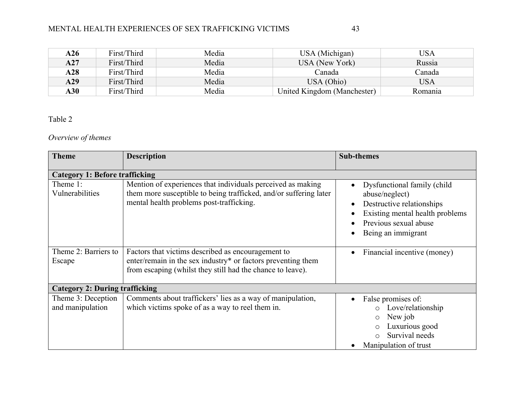### MENTAL HEALTH EXPERIENCES OF SEX TRAFFICKING VICTIMS

| A26        | First/Third | Media | USA (Michigan)              | USA     |
|------------|-------------|-------|-----------------------------|---------|
| A27        | First/Third | Media | USA (New York)              | Russia  |
| A28        | First/Third | Media | Canada                      | Canada  |
| A29        | First/Third | Media | USA (Ohio)                  | USA     |
| <b>A30</b> | First/Third | Media | United Kingdom (Manchester) | Romania |

### Table 2

# *Overview of themes*

| <b>Theme</b>                           | <b>Description</b>                                                                                                                                                               | <b>Sub-themes</b>                                                                                                                                             |  |  |  |  |
|----------------------------------------|----------------------------------------------------------------------------------------------------------------------------------------------------------------------------------|---------------------------------------------------------------------------------------------------------------------------------------------------------------|--|--|--|--|
| <b>Category 1: Before trafficking</b>  |                                                                                                                                                                                  |                                                                                                                                                               |  |  |  |  |
| Theme 1:<br>Vulnerabilities            | Mention of experiences that individuals perceived as making<br>them more susceptible to being trafficked, and/or suffering later<br>mental health problems post-trafficking.     | Dysfunctional family (child<br>abuse/neglect)<br>Destructive relationships<br>Existing mental health problems<br>Previous sexual abuse<br>Being an immigrant  |  |  |  |  |
| Theme 2: Barriers to<br>Escape         | Factors that victims described as encouragement to<br>enter/remain in the sex industry* or factors preventing them<br>from escaping (whilst they still had the chance to leave). | Financial incentive (money)<br>$\bullet$                                                                                                                      |  |  |  |  |
| <b>Category 2: During trafficking</b>  |                                                                                                                                                                                  |                                                                                                                                                               |  |  |  |  |
| Theme 3: Deception<br>and manipulation | Comments about traffickers' lies as a way of manipulation,<br>which victims spoke of as a way to reel them in.                                                                   | False promises of:<br>Love/relationship<br>$\circ$<br>New job<br>$\circ$<br>Luxurious good<br>$\circ$<br>Survival needs<br>$\bigcap$<br>Manipulation of trust |  |  |  |  |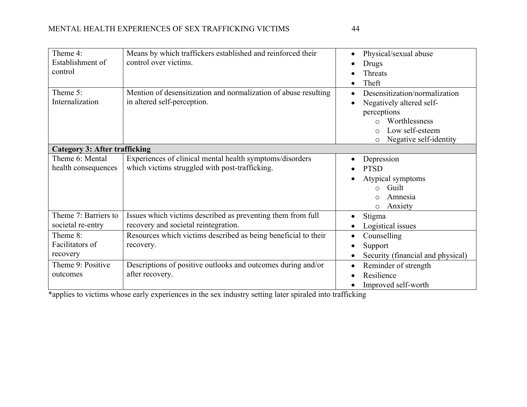|--|

| Theme 4:<br>Establishment of<br>control | Means by which traffickers established and reinforced their<br>control over victims.                       | Physical/sexual abuse<br>Drugs<br>Threats<br>Theft                                                                                                     |  |  |  |
|-----------------------------------------|------------------------------------------------------------------------------------------------------------|--------------------------------------------------------------------------------------------------------------------------------------------------------|--|--|--|
| Theme 5:<br>Internalization             | Mention of desensitization and normalization of abuse resulting<br>in altered self-perception.             | Desensitization/normalization<br>Negatively altered self-<br>perceptions<br>Worthlessness<br>Low self-esteem<br>O<br>Negative self-identity<br>$\circ$ |  |  |  |
| <b>Category 3: After trafficking</b>    |                                                                                                            |                                                                                                                                                        |  |  |  |
| Theme 6: Mental<br>health consequences  | Experiences of clinical mental health symptoms/disorders<br>which victims struggled with post-trafficking. | Depression<br><b>PTSD</b><br>Atypical symptoms<br>Guilt<br>O<br>Amnesia<br>$\circ$<br>Anxiety<br>$\circ$                                               |  |  |  |
| Theme 7: Barriers to                    | Issues which victims described as preventing them from full                                                | Stigma                                                                                                                                                 |  |  |  |
| societal re-entry                       | recovery and societal reintegration.                                                                       | Logistical issues                                                                                                                                      |  |  |  |
| Theme 8:                                | Resources which victims described as being beneficial to their                                             | Counselling                                                                                                                                            |  |  |  |
| Facilitators of                         | recovery.                                                                                                  | Support                                                                                                                                                |  |  |  |
| recovery                                |                                                                                                            | Security (financial and physical)                                                                                                                      |  |  |  |
| Theme 9: Positive                       | Descriptions of positive outlooks and outcomes during and/or                                               | Reminder of strength<br>$\bullet$                                                                                                                      |  |  |  |
| outcomes                                | after recovery.                                                                                            | Resilience                                                                                                                                             |  |  |  |
|                                         |                                                                                                            | Improved self-worth                                                                                                                                    |  |  |  |

\*applies to victims whose early experiences in the sex industry setting later spiraled into trafficking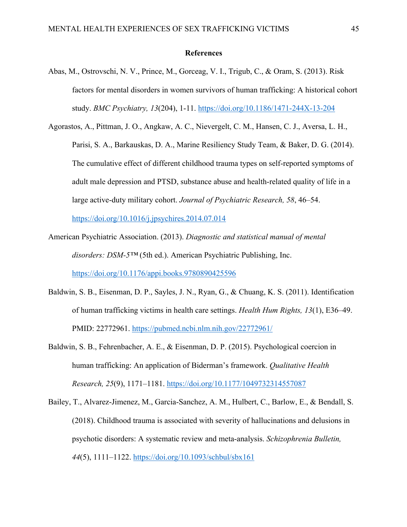#### **References**

- Abas, M., Ostrovschi, N. V., Prince, M., Gorceag, V. I., Trigub, C., & Oram, S. (2013). Risk factors for mental disorders in women survivors of human trafficking: A historical cohort study. *BMC Psychiatry, 13*(204), 1-11. https://doi.org/10.1186/1471-244X-13-204
- Agorastos, A., Pittman, J. O., Angkaw, A. C., Nievergelt, C. M., Hansen, C. J., Aversa, L. H., Parisi, S. A., Barkauskas, D. A., Marine Resiliency Study Team, & Baker, D. G. (2014). The cumulative effect of different childhood trauma types on self-reported symptoms of adult male depression and PTSD, substance abuse and health-related quality of life in a large active-duty military cohort. *Journal of Psychiatric Research, 58*, 46–54.

https://doi.org/10.1016/j.jpsychires.2014.07.014

- American Psychiatric Association. (2013). *Diagnostic and statistical manual of mental disorders: DSM-5™* (5th ed.). American Psychiatric Publishing, Inc. https://doi.org/10.1176/appi.books.9780890425596
- Baldwin, S. B., Eisenman, D. P., Sayles, J. N., Ryan, G., & Chuang, K. S. (2011). Identification of human trafficking victims in health care settings. *Health Hum Rights, 13*(1), E36–49. PMID: 22772961. https://pubmed.ncbi.nlm.nih.gov/22772961/
- Baldwin, S. B., Fehrenbacher, A. E., & Eisenman, D. P. (2015). Psychological coercion in human trafficking: An application of Biderman's framework. *Qualitative Health Research, 25*(9), 1171–1181. https://doi.org/10.1177/1049732314557087
- Bailey, T., Alvarez-Jimenez, M., Garcia-Sanchez, A. M., Hulbert, C., Barlow, E., & Bendall, S. (2018). Childhood trauma is associated with severity of hallucinations and delusions in psychotic disorders: A systematic review and meta-analysis. *Schizophrenia Bulletin, 44*(5), 1111–1122. https://doi.org/10.1093/schbul/sbx161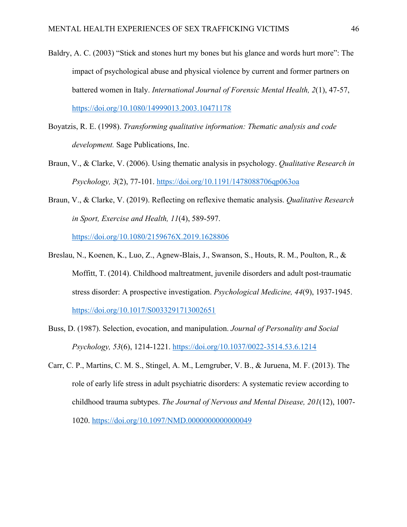- Baldry, A. C. (2003) "Stick and stones hurt my bones but his glance and words hurt more": The impact of psychological abuse and physical violence by current and former partners on battered women in Italy. *International Journal of Forensic Mental Health, 2*(1), 47-57, https://doi.org/10.1080/14999013.2003.10471178
- Boyatzis, R. E. (1998). *Transforming qualitative information: Thematic analysis and code development.* Sage Publications, Inc.
- Braun, V., & Clarke, V. (2006). Using thematic analysis in psychology. *Qualitative Research in Psychology, 3*(2), 77-101. https://doi.org/10.1191/1478088706qp063oa
- Braun, V., & Clarke, V. (2019). Reflecting on reflexive thematic analysis. *Qualitative Research in Sport, Exercise and Health, 11*(4), 589-597. https://doi.org/10.1080/2159676X.2019.1628806
- Breslau, N., Koenen, K., Luo, Z., Agnew-Blais, J., Swanson, S., Houts, R. M., Poulton, R., & Moffitt, T. (2014). Childhood maltreatment, juvenile disorders and adult post-traumatic stress disorder: A prospective investigation. *Psychological Medicine, 44*(9), 1937-1945. https://doi.org/10.1017/S0033291713002651
- Buss, D. (1987). Selection, evocation, and manipulation. *Journal of Personality and Social Psychology, 53*(6), 1214-1221. https://doi.org/10.1037/0022-3514.53.6.1214
- Carr, C. P., Martins, C. M. S., Stingel, A. M., Lemgruber, V. B., & Juruena, M. F. (2013). The role of early life stress in adult psychiatric disorders: A systematic review according to childhood trauma subtypes. *The Journal of Nervous and Mental Disease, 201*(12), 1007- 1020. https://doi.org/10.1097/NMD.0000000000000049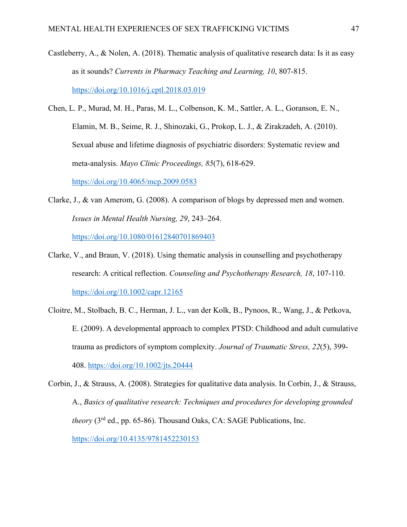- Castleberry, A., & Nolen, A. (2018). Thematic analysis of qualitative research data: Is it as easy as it sounds? *Currents in Pharmacy Teaching and Learning, 10*, 807-815. https://doi.org/10.1016/j.cptl.2018.03.019
- Chen, L. P., Murad, M. H., Paras, M. L., Colbenson, K. M., Sattler, A. L., Goranson, E. N., Elamin, M. B., Seime, R. J., Shinozaki, G., Prokop, L. J., & Zirakzadeh, A. (2010). Sexual abuse and lifetime diagnosis of psychiatric disorders: Systematic review and meta-analysis. *Mayo Clinic Proceedings, 85*(7), 618-629.

https://doi.org/10.4065/mcp.2009.0583

- Clarke, J., & van Amerom, G. (2008). A comparison of blogs by depressed men and women. *Issues in Mental Health Nursing, 29*, 243–264. https://doi.org/10.1080/01612840701869403
- Clarke, V., and Braun, V. (2018). Using thematic analysis in counselling and psychotherapy research: A critical reflection. *Counseling and Psychotherapy Research, 18*, 107-110. https://doi.org/10.1002/capr.12165
- Cloitre, M., Stolbach, B. C., Herman, J. L., van der Kolk, B., Pynoos, R., Wang, J., & Petkova, E. (2009). A developmental approach to complex PTSD: Childhood and adult cumulative trauma as predictors of symptom complexity. *Journal of Traumatic Stress, 22*(5), 399- 408. https://doi.org/10.1002/jts.20444
- Corbin, J., & Strauss, A. (2008). Strategies for qualitative data analysis. In Corbin, J., & Strauss, A., *Basics of qualitative research: Techniques and procedures for developing grounded theory* (3<sup>rd</sup> ed., pp. 65-86). Thousand Oaks, CA: SAGE Publications, Inc. https://doi.org/10.4135/9781452230153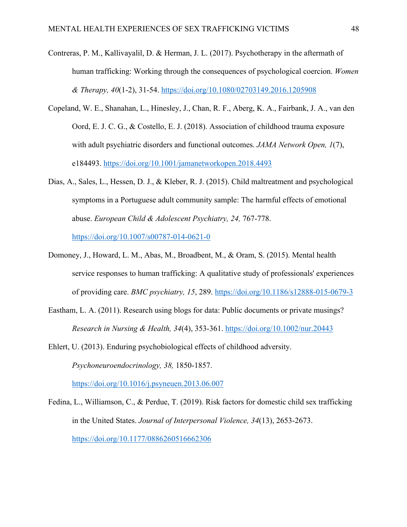- Contreras, P. M., Kallivayalil, D. & Herman, J. L. (2017). Psychotherapy in the aftermath of human trafficking: Working through the consequences of psychological coercion. *Women & Therapy, 40*(1-2), 31-54. https://doi.org/10.1080/02703149.2016.1205908
- Copeland, W. E., Shanahan, L., Hinesley, J., Chan, R. F., Aberg, K. A., Fairbank, J. A., van den Oord, E. J. C. G., & Costello, E. J. (2018). Association of childhood trauma exposure with adult psychiatric disorders and functional outcomes. *JAMA Network Open, 1*(7), e184493. https://doi.org/10.1001/jamanetworkopen.2018.4493
- Dias, A., Sales, L., Hessen, D. J., & Kleber, R. J. (2015). Child maltreatment and psychological symptoms in a Portuguese adult community sample: The harmful effects of emotional abuse. *European Child & Adolescent Psychiatry, 24,* 767-778. https://doi.org/10.1007/s00787-014-0621-0
- Domoney, J., Howard, L. M., Abas, M., Broadbent, M., & Oram, S. (2015). Mental health service responses to human trafficking: A qualitative study of professionals' experiences of providing care. *BMC psychiatry, 15*, 289. https://doi.org/10.1186/s12888-015-0679-3
- Eastham, L. A. (2011). Research using blogs for data: Public documents or private musings? *Research in Nursing & Health, 34*(4), 353-361. https://doi.org/10.1002/nur.20443
- Ehlert, U. (2013). Enduring psychobiological effects of childhood adversity. *Psychoneuroendocrinology, 38,* 1850-1857. https://doi.org/10.1016/j.psyneuen.2013.06.007
- Fedina, L., Williamson, C., & Perdue, T. (2019). Risk factors for domestic child sex trafficking in the United States. *Journal of Interpersonal Violence, 34*(13), 2653-2673. https://doi.org/10.1177/0886260516662306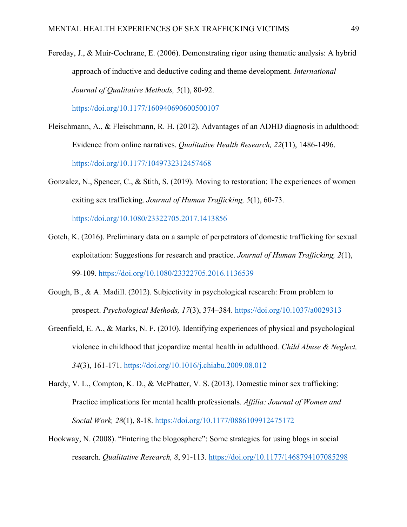Fereday, J., & Muir-Cochrane, E. (2006). Demonstrating rigor using thematic analysis: A hybrid approach of inductive and deductive coding and theme development. *International Journal of Qualitative Methods, 5*(1), 80-92.

https://doi.org/10.1177/160940690600500107

- Fleischmann, A., & Fleischmann, R. H. (2012). Advantages of an ADHD diagnosis in adulthood: Evidence from online narratives. *Qualitative Health Research, 22*(11), 1486-1496. https://doi.org/10.1177/1049732312457468
- Gonzalez, N., Spencer, C., & Stith, S. (2019). Moving to restoration: The experiences of women exiting sex trafficking. *Journal of Human Trafficking, 5*(1), 60-73.

https://doi.org/10.1080/23322705.2017.1413856

- Gotch, K. (2016). Preliminary data on a sample of perpetrators of domestic trafficking for sexual exploitation: Suggestions for research and practice. *Journal of Human Trafficking, 2*(1), 99-109. https://doi.org/10.1080/23322705.2016.1136539
- Gough, B., & A. Madill. (2012). Subjectivity in psychological research: From problem to prospect. *Psychological Methods, 17*(3), 374–384. https://doi.org/10.1037/a0029313
- Greenfield, E. A., & Marks, N. F. (2010). Identifying experiences of physical and psychological violence in childhood that jeopardize mental health in adulthood*. Child Abuse & Neglect, 34*(3), 161-171. https://doi.org/10.1016/j.chiabu.2009.08.012
- Hardy, V. L., Compton, K. D., & McPhatter, V. S. (2013). Domestic minor sex trafficking: Practice implications for mental health professionals. *Affilia: Journal of Women and Social Work, 28*(1), 8-18. https://doi.org/10.1177/0886109912475172
- Hookway, N. (2008). "Entering the blogosphere": Some strategies for using blogs in social research. *Qualitative Research, 8*, 91-113. https://doi.org/10.1177/1468794107085298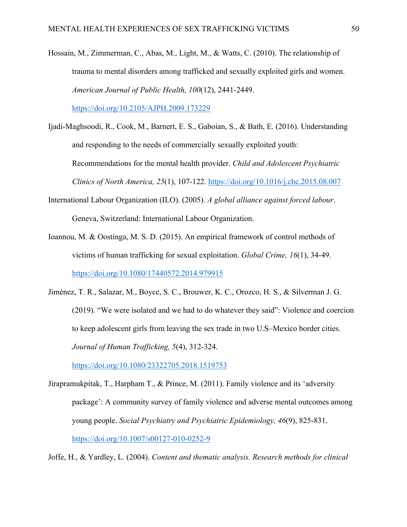Hossain, M., Zimmerman, C., Abas, M., Light, M., & Watts, C. (2010). The relationship of trauma to mental disorders among trafficked and sexually exploited girls and women. *American Journal of Public Health, 100*(12), 2441-2449.

https://doi.org/10.2105/AJPH.2009.173229

- Ijadi-Maghsoodi, R., Cook, M., Barnert, E. S., Gaboian, S., & Bath, E. (2016). Understanding and responding to the needs of commercially sexually exploited youth: Recommendations for the mental health provider. *Child and Adolescent Psychiatric Clinics of North America, 25*(1), 107-122. https://doi.org/10.1016/j.chc.2015.08.007
- International Labour Organization (ILO). (2005). *A global alliance against forced labour*. Geneva, Switzerland: International Labour Organization.
- Ioannou, M. & Oostinga, M. S. D. (2015). An empirical framework of control methods of victims of human trafficking for sexual exploitation. *Global Crime, 16*(1), 34-49. https://doi.org/10.1080/17440572.2014.979915
- Jiménez, T. R., Salazar, M., Boyce, S. C., Brouwer, K. C., Orozco, H. S., & Silverman J. G. (2019). "We were isolated and we had to do whatever they said": Violence and coercion to keep adolescent girls from leaving the sex trade in two U.S–Mexico border cities. *Journal of Human Trafficking, 5*(4), 312-324.

https://doi.org/10.1080/23322705.2018.1519753

Jirapramukpitak, T., Harpham T., & Prince, M. (2011). Family violence and its 'adversity package': A community survey of family violence and adverse mental outcomes among young people. *Social Psychiatry and Psychiatric Epidemiology, 46*(9), 825-831. https://doi.org/10.1007/s00127-010-0252-9

Joffe, H., & Yardley, L. (2004). *Content and thematic analysis. Research methods for clinical*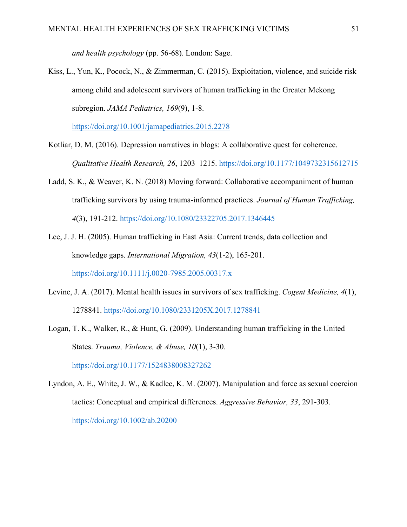*and health psychology* (pp. 56-68). London: Sage.

Kiss, L., Yun, K., Pocock, N., & Zimmerman, C. (2015). Exploitation, violence, and suicide risk among child and adolescent survivors of human trafficking in the Greater Mekong subregion. *JAMA Pediatrics, 169*(9), 1-8.

https://doi.org/10.1001/jamapediatrics.2015.2278

- Kotliar, D. M. (2016). Depression narratives in blogs: A collaborative quest for coherence. *Qualitative Health Research, 26*, 1203–1215. https://doi.org/10.1177/1049732315612715
- Ladd, S. K., & Weaver, K. N. (2018) Moving forward: Collaborative accompaniment of human trafficking survivors by using trauma-informed practices. *Journal of Human Trafficking, 4*(3), 191-212. https://doi.org/10.1080/23322705.2017.1346445
- Lee, J. J. H. (2005). Human trafficking in East Asia: Current trends, data collection and knowledge gaps. *International Migration, 43*(1-2), 165-201. https://doi.org/10.1111/j.0020-7985.2005.00317.x
- Levine, J. A. (2017). Mental health issues in survivors of sex trafficking. *Cogent Medicine, 4*(1), 1278841. https://doi.org/10.1080/2331205X.2017.1278841
- Logan, T. K., Walker, R., & Hunt, G. (2009). Understanding human trafficking in the United States. *Trauma, Violence, & Abuse, 10*(1), 3-30. https://doi.org/10.1177/1524838008327262

Lyndon, A. E., White, J. W., & Kadlec, K. M. (2007). Manipulation and force as sexual coercion tactics: Conceptual and empirical differences. *Aggressive Behavior, 33*, 291-303. https://doi.org/10.1002/ab.20200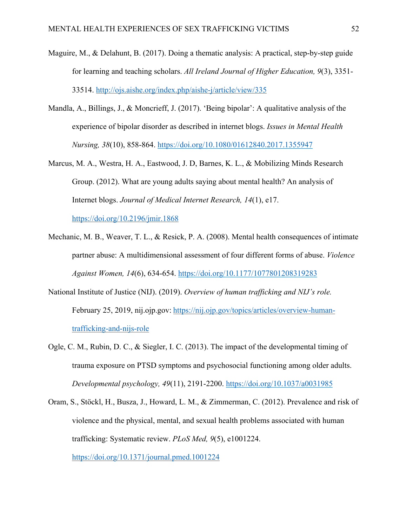- Maguire, M., & Delahunt, B. (2017). Doing a thematic analysis: A practical, step-by-step guide for learning and teaching scholars. *All Ireland Journal of Higher Education, 9*(3), 3351- 33514. http://ojs.aishe.org/index.php/aishe-j/article/view/335
- Mandla, A., Billings, J., & Moncrieff, J. (2017). 'Being bipolar': A qualitative analysis of the experience of bipolar disorder as described in internet blogs. *Issues in Mental Health Nursing, 38*(10), 858-864. https://doi.org/10.1080/01612840.2017.1355947
- Marcus, M. A., Westra, H. A., Eastwood, J. D, Barnes, K. L., & Mobilizing Minds Research Group. (2012). What are young adults saying about mental health? An analysis of Internet blogs. *Journal of Medical Internet Research, 14*(1), e17.

https://doi.org/10.2196/jmir.1868

- Mechanic, M. B., Weaver, T. L., & Resick, P. A. (2008). Mental health consequences of intimate partner abuse: A multidimensional assessment of four different forms of abuse. *Violence Against Women, 14*(6), 634-654. https://doi.org/10.1177/1077801208319283
- National Institute of Justice (NIJ). (2019). *Overview of human trafficking and NIJ's role.* February 25, 2019, nij.ojp.gov: https://nij.ojp.gov/topics/articles/overview-humantrafficking-and-nijs-role
- Ogle, C. M., Rubin, D. C., & Siegler, I. C. (2013). The impact of the developmental timing of trauma exposure on PTSD symptoms and psychosocial functioning among older adults. *Developmental psychology, 49*(11), 2191-2200. https://doi.org/10.1037/a0031985
- Oram, S., Stöckl, H., Busza, J., Howard, L. M., & Zimmerman, C. (2012). Prevalence and risk of violence and the physical, mental, and sexual health problems associated with human trafficking: Systematic review. *PLoS Med, 9*(5), e1001224. https://doi.org/10.1371/journal.pmed.1001224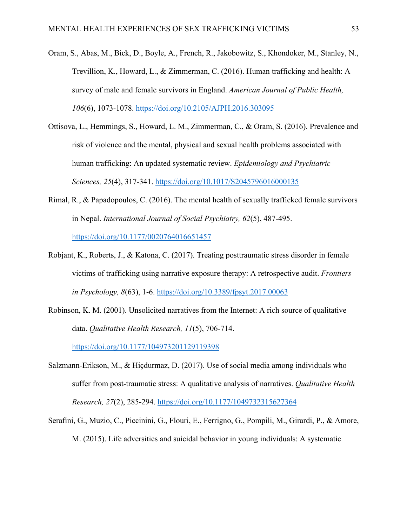- Oram, S., Abas, M., Bick, D., Boyle, A., French, R., Jakobowitz, S., Khondoker, M., Stanley, N., Trevillion, K., Howard, L., & Zimmerman, C. (2016). Human trafficking and health: A survey of male and female survivors in England. *American Journal of Public Health, 106*(6), 1073-1078. https://doi.org/10.2105/AJPH.2016.303095
- Ottisova, L., Hemmings, S., Howard, L. M., Zimmerman, C., & Oram, S. (2016). Prevalence and risk of violence and the mental, physical and sexual health problems associated with human trafficking: An updated systematic review. *Epidemiology and Psychiatric Sciences, 25*(4), 317-341. https://doi.org/10.1017/S2045796016000135
- Rimal, R., & Papadopoulos, C. (2016). The mental health of sexually trafficked female survivors in Nepal. *International Journal of Social Psychiatry, 62*(5), 487-495. https://doi.org/10.1177/0020764016651457
- Robjant, K., Roberts, J., & Katona, C. (2017). Treating posttraumatic stress disorder in female victims of trafficking using narrative exposure therapy: A retrospective audit. *Frontiers in Psychology, 8*(63), 1-6. https://doi.org/10.3389/fpsyt.2017.00063
- Robinson, K. M. (2001). Unsolicited narratives from the Internet: A rich source of qualitative data. *Qualitative Health Research, 11*(5), 706-714. https://doi.org/10.1177/104973201129119398
- Salzmann-Erikson, M., & Hiçdurmaz, D. (2017). Use of social media among individuals who suffer from post-traumatic stress: A qualitative analysis of narratives. *Qualitative Health Research, 27*(2), 285-294. https://doi.org/10.1177/1049732315627364
- Serafini, G., Muzio, C., Piccinini, G., Flouri, E., Ferrigno, G., Pompili, M., Girardi, P., & Amore, M. (2015). Life adversities and suicidal behavior in young individuals: A systematic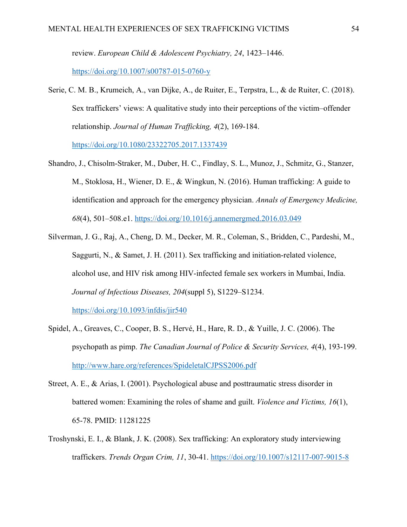review. *European Child & Adolescent Psychiatry, 24*, 1423–1446.

https://doi.org/10.1007/s00787-015-0760-y

Serie, C. M. B., Krumeich, A., van Dijke, A., de Ruiter, E., Terpstra, L., & de Ruiter, C. (2018). Sex traffickers' views: A qualitative study into their perceptions of the victim–offender relationship. *Journal of Human Trafficking, 4*(2), 169-184.

https://doi.org/10.1080/23322705.2017.1337439

- Shandro, J., Chisolm-Straker, M., Duber, H. C., Findlay, S. L., Munoz, J., Schmitz, G., Stanzer, M., Stoklosa, H., Wiener, D. E., & Wingkun, N. (2016). Human trafficking: A guide to identification and approach for the emergency physician. *Annals of Emergency Medicine, 68*(4), 501–508.e1. https://doi.org/10.1016/j.annemergmed.2016.03.049
- Silverman, J. G., Raj, A., Cheng, D. M., Decker, M. R., Coleman, S., Bridden, C., Pardeshi, M., Saggurti, N., & Samet, J. H. (2011). Sex trafficking and initiation-related violence, alcohol use, and HIV risk among HIV-infected female sex workers in Mumbai, India. *Journal of Infectious Diseases, 204*(suppl 5), S1229–S1234. https://doi.org/10.1093/infdis/jir540

- Spidel, A., Greaves, C., Cooper, B. S., Hervé, H., Hare, R. D., & Yuille, J. C. (2006). The psychopath as pimp. *The Canadian Journal of Police & Security Services, 4*(4), 193-199. http://www.hare.org/references/SpideletalCJPSS2006.pdf
- Street, A. E., & Arias, I. (2001). Psychological abuse and posttraumatic stress disorder in battered women: Examining the roles of shame and guilt. *Violence and Victims, 16*(1), 65-78. PMID: 11281225
- Troshynski, E. I., & Blank, J. K. (2008). Sex trafficking: An exploratory study interviewing traffickers. *Trends Organ Crim, 11*, 30-41. https://doi.org/10.1007/s12117-007-9015-8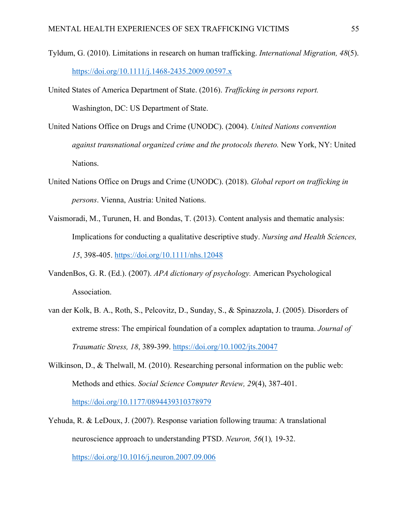- Tyldum, G. (2010). Limitations in research on human trafficking. *International Migration, 48*(5). https://doi.org/10.1111/j.1468-2435.2009.00597.x
- United States of America Department of State. (2016). *Trafficking in persons report.* Washington, DC: US Department of State.
- United Nations Office on Drugs and Crime (UNODC). (2004). *United Nations convention against transnational organized crime and the protocols thereto.* New York, NY: United Nations.
- United Nations Office on Drugs and Crime (UNODC). (2018). *Global report on trafficking in persons*. Vienna, Austria: United Nations.
- Vaismoradi, M., Turunen, H. and Bondas, T. (2013). Content analysis and thematic analysis: Implications for conducting a qualitative descriptive study. *Nursing and Health Sciences, 15*, 398-405. https://doi.org/10.1111/nhs.12048
- VandenBos, G. R. (Ed.). (2007). *APA dictionary of psychology.* American Psychological Association.
- van der Kolk, B. A., Roth, S., Pelcovitz, D., Sunday, S., & Spinazzola, J. (2005). Disorders of extreme stress: The empirical foundation of a complex adaptation to trauma. *Journal of Traumatic Stress, 18*, 389-399. https://doi.org/10.1002/jts.20047
- Wilkinson, D., & Thelwall, M. (2010). Researching personal information on the public web: Methods and ethics. *Social Science Computer Review, 29*(4), 387-401. https://doi.org/10.1177/0894439310378979
- Yehuda, R. & LeDoux, J. (2007). Response variation following trauma: A translational neuroscience approach to understanding PTSD. *Neuron, 56*(1)*,* 19-32. https://doi.org/10.1016/j.neuron.2007.09.006